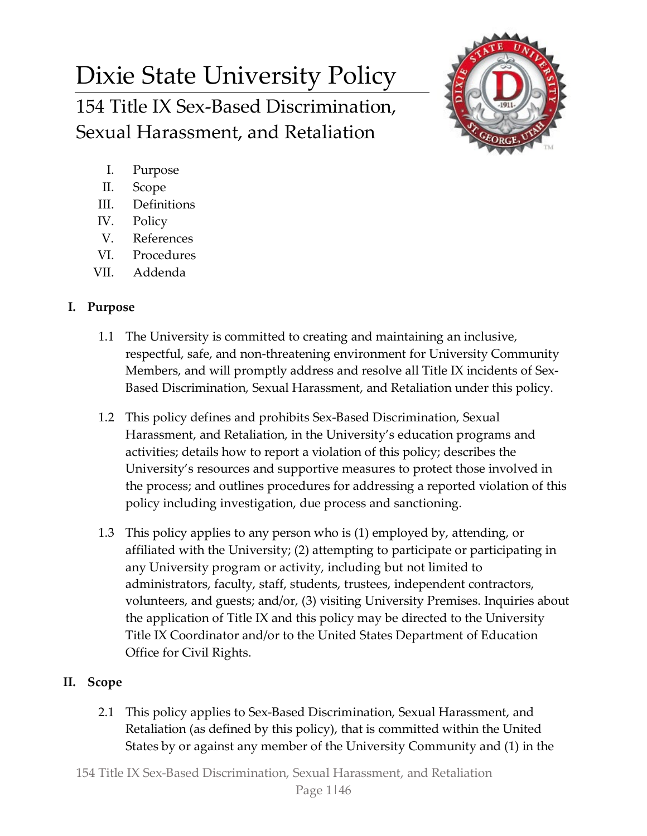# Dixie State University Policy 154 Title IX Sex-Based Discrimination, Sexual Harassment, and Retaliation



- I. Purpose
- II. Scope
- III. Definitions
- IV. Policy
- V. References
- VI. Procedures
- VII. Addenda

# **I. Purpose**

- 1.1 The University is committed to creating and maintaining an inclusive, respectful, safe, and non-threatening environment for University Community Members, and will promptly address and resolve all Title IX incidents of Sex-Based Discrimination, Sexual Harassment, and Retaliation under this policy.
- 1.2 This policy defines and prohibits Sex-Based Discrimination, Sexual Harassment, and Retaliation, in the University's education programs and activities; details how to report a violation of this policy; describes the University's resources and supportive measures to protect those involved in the process; and outlines procedures for addressing a reported violation of this policy including investigation, due process and sanctioning.
- 1.3 This policy applies to any person who is (1) employed by, attending, or affiliated with the University; (2) attempting to participate or participating in any University program or activity, including but not limited to administrators, faculty, staff, students, trustees, independent contractors, volunteers, and guests; and/or, (3) visiting University Premises. Inquiries about the application of Title IX and this policy may be directed to the University Title IX Coordinator and/or to the United States Department of Education Office for Civil Rights.

# **II. Scope**

2.1 This policy applies to Sex-Based Discrimination, Sexual Harassment, and Retaliation (as defined by this policy), that is committed within the United States by or against any member of the University Community and (1) in the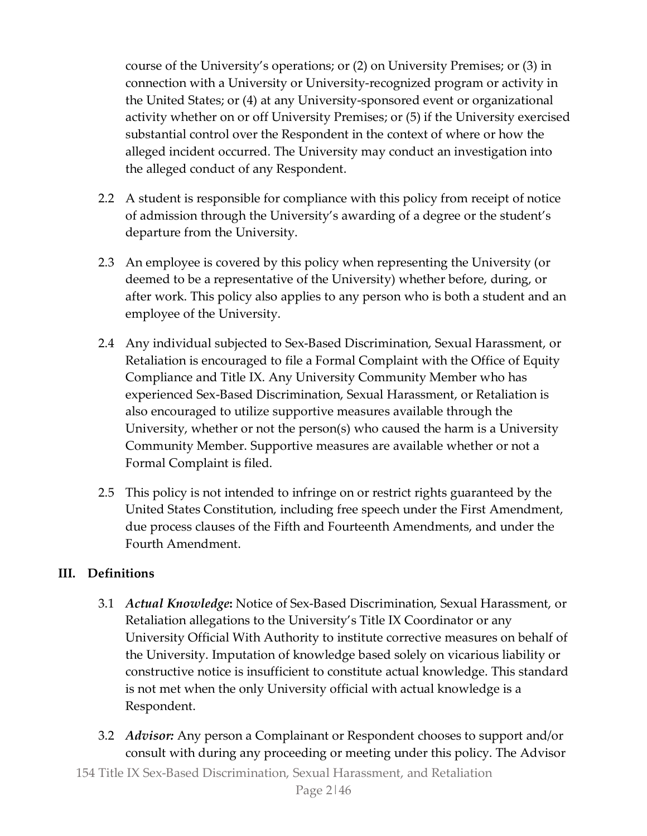course of the University's operations; or (2) on University Premises; or (3) in connection with a University or University-recognized program or activity in the United States; or (4) at any University-sponsored event or organizational activity whether on or off University Premises; or (5) if the University exercised substantial control over the Respondent in the context of where or how the alleged incident occurred. The University may conduct an investigation into the alleged conduct of any Respondent.

- 2.2 A student is responsible for compliance with this policy from receipt of notice of admission through the University's awarding of a degree or the student's departure from the University.
- 2.3 An employee is covered by this policy when representing the University (or deemed to be a representative of the University) whether before, during, or after work. This policy also applies to any person who is both a student and an employee of the University.
- 2.4 Any individual subjected to Sex-Based Discrimination, Sexual Harassment, or Retaliation is encouraged to file a Formal Complaint with the Office of Equity Compliance and Title IX. Any University Community Member who has experienced Sex-Based Discrimination, Sexual Harassment, or Retaliation is also encouraged to utilize supportive measures available through the University, whether or not the person(s) who caused the harm is a University Community Member. Supportive measures are available whether or not a Formal Complaint is filed.
- 2.5 This policy is not intended to infringe on or restrict rights guaranteed by the United States Constitution, including free speech under the First Amendment, due process clauses of the Fifth and Fourteenth Amendments, and under the Fourth Amendment.

# **III. Definitions**

- 3.1 *Actual Knowledge***:** Notice of Sex-Based Discrimination, Sexual Harassment, or Retaliation allegations to the University's Title IX Coordinator or any University Official With Authority to institute corrective measures on behalf of the University. Imputation of knowledge based solely on vicarious liability or constructive notice is insufficient to constitute actual knowledge. This standard is not met when the only University official with actual knowledge is a Respondent.
- 3.2 *Advisor:* Any person a Complainant or Respondent chooses to support and/or consult with during any proceeding or meeting under this policy. The Advisor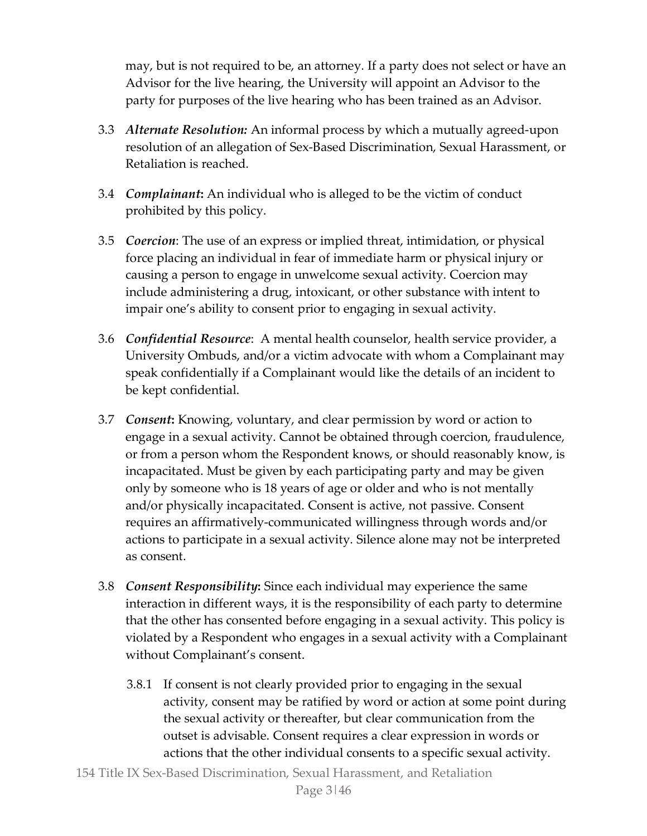may, but is not required to be, an attorney. If a party does not select or have an Advisor for the live hearing, the University will appoint an Advisor to the party for purposes of the live hearing who has been trained as an Advisor.

- 3.3 *Alternate Resolution:* An informal process by which a mutually agreed-upon resolution of an allegation of Sex-Based Discrimination, Sexual Harassment, or Retaliation is reached.
- 3.4 *Complainant***:** An individual who is alleged to be the victim of conduct prohibited by this policy.
- 3.5 *Coercion*: The use of an express or implied threat, intimidation, or physical force placing an individual in fear of immediate harm or physical injury or causing a person to engage in unwelcome sexual activity. Coercion may include administering a drug, intoxicant, or other substance with intent to impair one's ability to consent prior to engaging in sexual activity.
- 3.6 *Confidential Resource*: A mental health counselor, health service provider, a University Ombuds, and/or a victim advocate with whom a Complainant may speak confidentially if a Complainant would like the details of an incident to be kept confidential.
- 3.7 *Consent***:** Knowing, voluntary, and clear permission by word or action to engage in a sexual activity. Cannot be obtained through coercion, fraudulence, or from a person whom the Respondent knows, or should reasonably know, is incapacitated. Must be given by each participating party and may be given only by someone who is 18 years of age or older and who is not mentally and/or physically incapacitated. Consent is active, not passive. Consent requires an affirmatively-communicated willingness through words and/or actions to participate in a sexual activity. Silence alone may not be interpreted as consent.
- 3.8 *Consent Responsibility***:** Since each individual may experience the same interaction in different ways, it is the responsibility of each party to determine that the other has consented before engaging in a sexual activity. This policy is violated by a Respondent who engages in a sexual activity with a Complainant without Complainant's consent.
	- 3.8.1 If consent is not clearly provided prior to engaging in the sexual activity, consent may be ratified by word or action at some point during the sexual activity or thereafter, but clear communication from the outset is advisable. Consent requires a clear expression in words or actions that the other individual consents to a specific sexual activity.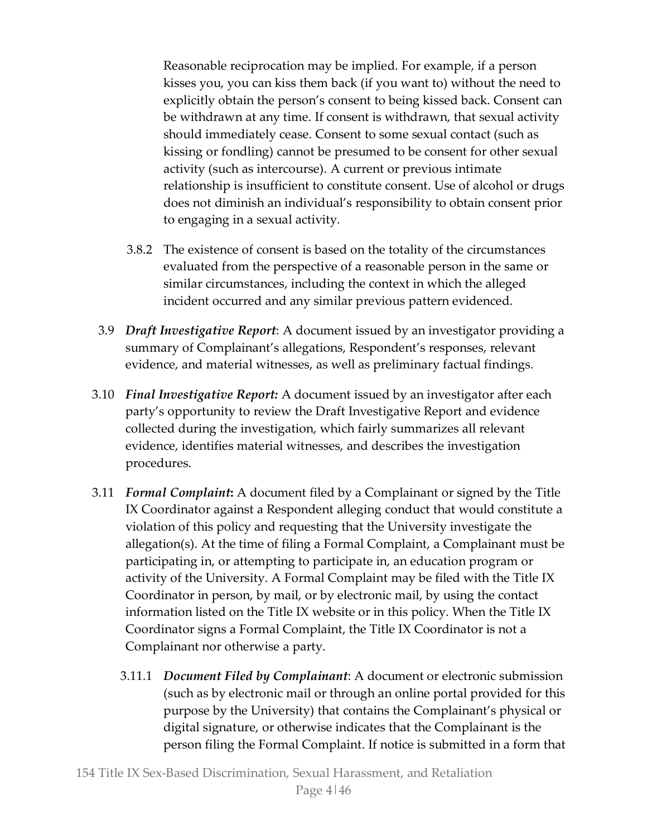Reasonable reciprocation may be implied. For example, if a person kisses you, you can kiss them back (if you want to) without the need to explicitly obtain the person's consent to being kissed back. Consent can be withdrawn at any time. If consent is withdrawn, that sexual activity should immediately cease. Consent to some sexual contact (such as kissing or fondling) cannot be presumed to be consent for other sexual activity (such as intercourse). A current or previous intimate relationship is insufficient to constitute consent. Use of alcohol or drugs does not diminish an individual's responsibility to obtain consent prior to engaging in a sexual activity.

- 3.8.2 The existence of consent is based on the totality of the circumstances evaluated from the perspective of a reasonable person in the same or similar circumstances, including the context in which the alleged incident occurred and any similar previous pattern evidenced.
- 3.9 *Draft Investigative Report*: A document issued by an investigator providing a summary of Complainant's allegations, Respondent's responses, relevant evidence, and material witnesses, as well as preliminary factual findings.
- 3.10 *Final Investigative Report:* A document issued by an investigator after each party's opportunity to review the Draft Investigative Report and evidence collected during the investigation, which fairly summarizes all relevant evidence, identifies material witnesses, and describes the investigation procedures.
- 3.11 *Formal Complaint***:** A document filed by a Complainant or signed by the Title IX Coordinator against a Respondent alleging conduct that would constitute a violation of this policy and requesting that the University investigate the allegation(s). At the time of filing a Formal Complaint, a Complainant must be participating in, or attempting to participate in, an education program or activity of the University. A Formal Complaint may be filed with the Title IX Coordinator in person, by mail, or by electronic mail, by using the contact information listed on the Title IX website or in this policy. When the Title IX Coordinator signs a Formal Complaint, the Title IX Coordinator is not a Complainant nor otherwise a party.
	- 3.11.1 *Document Filed by Complainant*: A document or electronic submission (such as by electronic mail or through an online portal provided for this purpose by the University) that contains the Complainant's physical or digital signature, or otherwise indicates that the Complainant is the person filing the Formal Complaint. If notice is submitted in a form that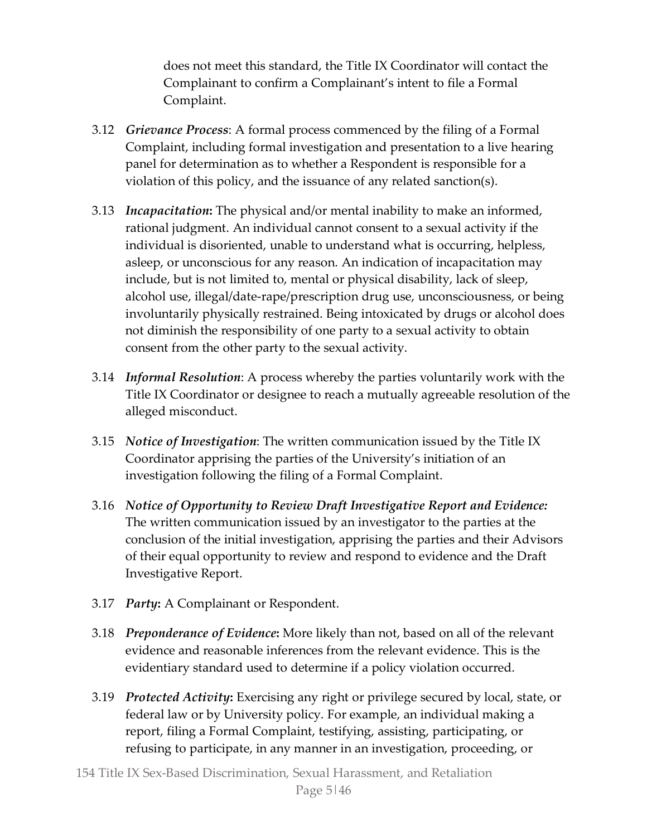does not meet this standard, the Title IX Coordinator will contact the Complainant to confirm a Complainant's intent to file a Formal Complaint.

- 3.12 *Grievance Process*: A formal process commenced by the filing of a Formal Complaint, including formal investigation and presentation to a live hearing panel for determination as to whether a Respondent is responsible for a violation of this policy, and the issuance of any related sanction(s).
- 3.13 *Incapacitation***:** The physical and/or mental inability to make an informed, rational judgment. An individual cannot consent to a sexual activity if the individual is disoriented, unable to understand what is occurring, helpless, asleep, or unconscious for any reason. An indication of incapacitation may include, but is not limited to, mental or physical disability, lack of sleep, alcohol use, illegal/date-rape/prescription drug use, unconsciousness, or being involuntarily physically restrained. Being intoxicated by drugs or alcohol does not diminish the responsibility of one party to a sexual activity to obtain consent from the other party to the sexual activity.
- 3.14 *Informal Resolution*: A process whereby the parties voluntarily work with the Title IX Coordinator or designee to reach a mutually agreeable resolution of the alleged misconduct.
- 3.15 *Notice of Investigation*: The written communication issued by the Title IX Coordinator apprising the parties of the University's initiation of an investigation following the filing of a Formal Complaint.
- 3.16 *Notice of Opportunity to Review Draft Investigative Report and Evidence:*  The written communication issued by an investigator to the parties at the conclusion of the initial investigation, apprising the parties and their Advisors of their equal opportunity to review and respond to evidence and the Draft Investigative Report.
- 3.17 *Party***:** A Complainant or Respondent.
- 3.18 *Preponderance of Evidence***:** More likely than not, based on all of the relevant evidence and reasonable inferences from the relevant evidence. This is the evidentiary standard used to determine if a policy violation occurred.
- 3.19 *Protected Activity***:** Exercising any right or privilege secured by local, state, or federal law or by University policy. For example, an individual making a report, filing a Formal Complaint, testifying, assisting, participating, or refusing to participate, in any manner in an investigation, proceeding, or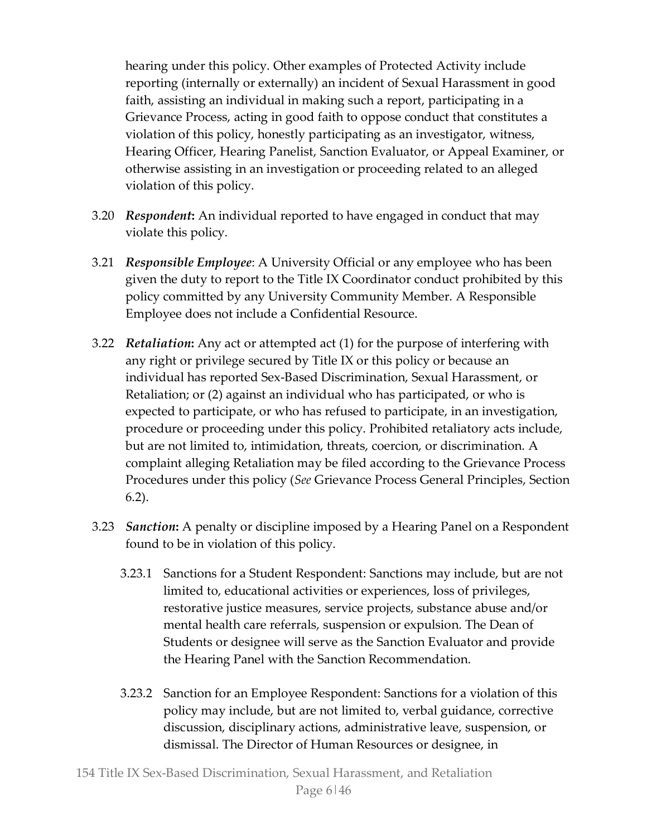hearing under this policy. Other examples of Protected Activity include reporting (internally or externally) an incident of Sexual Harassment in good faith, assisting an individual in making such a report, participating in a Grievance Process, acting in good faith to oppose conduct that constitutes a violation of this policy, honestly participating as an investigator, witness, Hearing Officer, Hearing Panelist, Sanction Evaluator, or Appeal Examiner, or otherwise assisting in an investigation or proceeding related to an alleged violation of this policy.

- 3.20 *Respondent***:** An individual reported to have engaged in conduct that may violate this policy.
- 3.21 *Responsible Employee*: A University Official or any employee who has been given the duty to report to the Title IX Coordinator conduct prohibited by this policy committed by any University Community Member. A Responsible Employee does not include a Confidential Resource.
- 3.22 *Retaliation***:** Any act or attempted act (1) for the purpose of interfering with any right or privilege secured by Title IX or this policy or because an individual has reported Sex-Based Discrimination, Sexual Harassment, or Retaliation; or (2) against an individual who has participated, or who is expected to participate, or who has refused to participate, in an investigation, procedure or proceeding under this policy. Prohibited retaliatory acts include, but are not limited to, intimidation, threats, coercion, or discrimination. A complaint alleging Retaliation may be filed according to the Grievance Process Procedures under this policy (*See* Grievance Process General Principles, Section 6.2).
- 3.23 *Sanction***:** A penalty or discipline imposed by a Hearing Panel on a Respondent found to be in violation of this policy.
	- 3.23.1 Sanctions for a Student Respondent: Sanctions may include, but are not limited to, educational activities or experiences, loss of privileges, restorative justice measures, service projects, substance abuse and/or mental health care referrals, suspension or expulsion. The Dean of Students or designee will serve as the Sanction Evaluator and provide the Hearing Panel with the Sanction Recommendation.
	- 3.23.2 Sanction for an Employee Respondent: Sanctions for a violation of this policy may include, but are not limited to, verbal guidance, corrective discussion, disciplinary actions, administrative leave, suspension, or dismissal. The Director of Human Resources or designee, in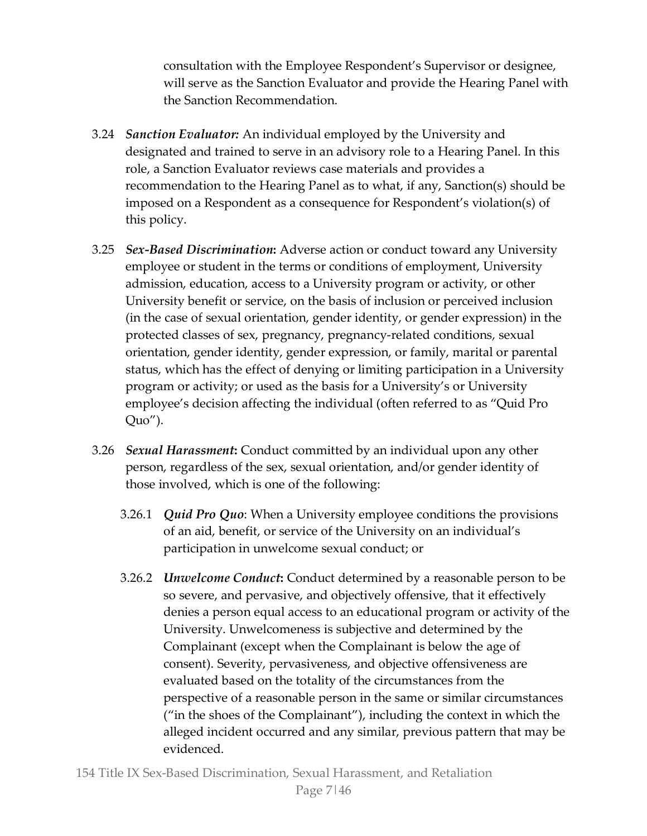consultation with the Employee Respondent's Supervisor or designee, will serve as the Sanction Evaluator and provide the Hearing Panel with the Sanction Recommendation.

- 3.24 *Sanction Evaluator:* An individual employed by the University and designated and trained to serve in an advisory role to a Hearing Panel. In this role, a Sanction Evaluator reviews case materials and provides a recommendation to the Hearing Panel as to what, if any, Sanction(s) should be imposed on a Respondent as a consequence for Respondent's violation(s) of this policy.
- 3.25 *Sex-Based Discrimination***:** Adverse action or conduct toward any University employee or student in the terms or conditions of employment, University admission, education, access to a University program or activity, or other University benefit or service, on the basis of inclusion or perceived inclusion (in the case of sexual orientation, gender identity, or gender expression) in the protected classes of sex, pregnancy, pregnancy-related conditions, sexual orientation, gender identity, gender expression, or family, marital or parental status, which has the effect of denying or limiting participation in a University program or activity; or used as the basis for a University's or University employee's decision affecting the individual (often referred to as "Quid Pro Quo").
- 3.26 *Sexual Harassment***:** Conduct committed by an individual upon any other person, regardless of the sex, sexual orientation, and/or gender identity of those involved, which is one of the following:
	- 3.26.1 *Quid Pro Quo*: When a University employee conditions the provisions of an aid, benefit, or service of the University on an individual's participation in unwelcome sexual conduct; or
	- 3.26.2 *Unwelcome Conduct***:** Conduct determined by a reasonable person to be so severe, and pervasive, and objectively offensive, that it effectively denies a person equal access to an educational program or activity of the University. Unwelcomeness is subjective and determined by the Complainant (except when the Complainant is below the age of consent). Severity, pervasiveness, and objective offensiveness are evaluated based on the totality of the circumstances from the perspective of a reasonable person in the same or similar circumstances ("in the shoes of the Complainant"), including the context in which the alleged incident occurred and any similar, previous pattern that may be evidenced.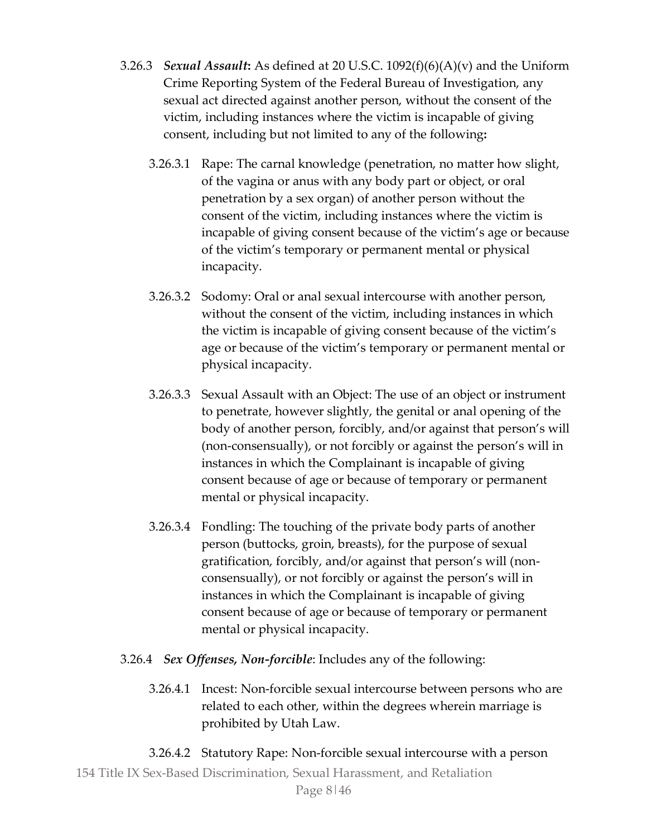- 3.26.3 *Sexual Assault***:** As defined at 20 U.S.C. 1092(f)(6)(A)(v) and the Uniform Crime Reporting System of the Federal Bureau of Investigation, any sexual act directed against another person, without the consent of the victim, including instances where the victim is incapable of giving consent, including but not limited to any of the following**:** 
	- 3.26.3.1 Rape: The carnal knowledge (penetration, no matter how slight, of the vagina or anus with any body part or object, or oral penetration by a sex organ) of another person without the consent of the victim, including instances where the victim is incapable of giving consent because of the victim's age or because of the victim's temporary or permanent mental or physical incapacity.
	- 3.26.3.2 Sodomy: Oral or anal sexual intercourse with another person, without the consent of the victim, including instances in which the victim is incapable of giving consent because of the victim's age or because of the victim's temporary or permanent mental or physical incapacity.
	- 3.26.3.3 Sexual Assault with an Object: The use of an object or instrument to penetrate, however slightly, the genital or anal opening of the body of another person, forcibly, and/or against that person's will (non-consensually), or not forcibly or against the person's will in instances in which the Complainant is incapable of giving consent because of age or because of temporary or permanent mental or physical incapacity.
	- 3.26.3.4 Fondling: The touching of the private body parts of another person (buttocks, groin, breasts), for the purpose of sexual gratification, forcibly, and/or against that person's will (nonconsensually), or not forcibly or against the person's will in instances in which the Complainant is incapable of giving consent because of age or because of temporary or permanent mental or physical incapacity.
- 3.26.4 *Sex Offenses, Non-forcible*: Includes any of the following:
	- 3.26.4.1 Incest: Non-forcible sexual intercourse between persons who are related to each other, within the degrees wherein marriage is prohibited by Utah Law.
- 154 Title IX Sex-Based Discrimination, Sexual Harassment, and Retaliation 3.26.4.2 Statutory Rape: Non-forcible sexual intercourse with a person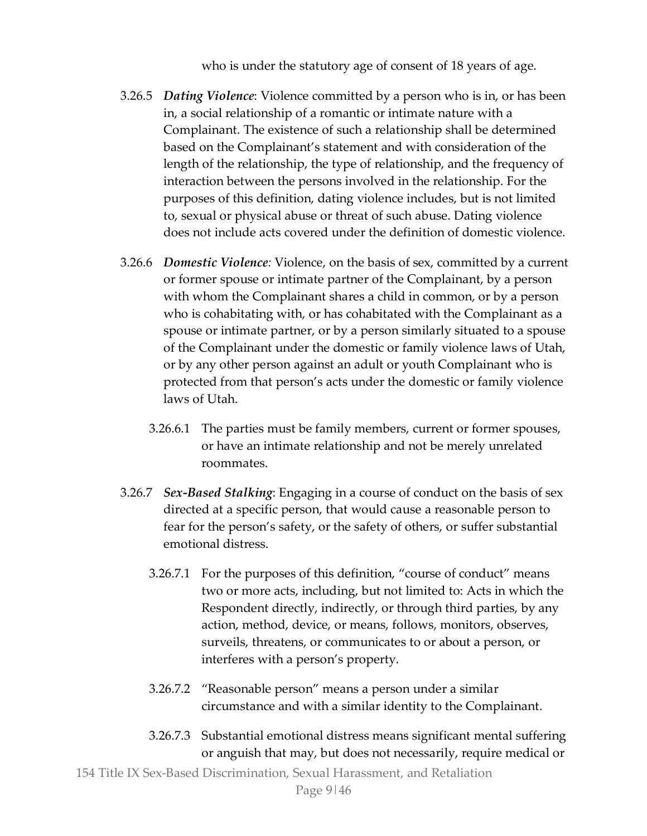who is under the statutory age of consent of 18 years of age.

- 3.26.5 *Dating Violence*: Violence committed by a person who is in, or has been in, a social relationship of a romantic or intimate nature with a Complainant. The existence of such a relationship shall be determined based on the Complainant's statement and with consideration of the length of the relationship, the type of relationship, and the frequency of interaction between the persons involved in the relationship. For the purposes of this definition, dating violence includes, but is not limited to, sexual or physical abuse or threat of such abuse. Dating violence does not include acts covered under the definition of domestic violence.
- 3.26.6 *Domestic Violence:* Violence, on the basis of sex, committed by a current or former spouse or intimate partner of the Complainant, by a person with whom the Complainant shares a child in common, or by a person who is cohabitating with, or has cohabitated with the Complainant as a spouse or intimate partner, or by a person similarly situated to a spouse of the Complainant under the domestic or family violence laws of Utah, or by any other person against an adult or youth Complainant who is protected from that person's acts under the domestic or family violence laws of Utah.
	- 3.26.6.1 The parties must be family members, current or former spouses, or have an intimate relationship and not be merely unrelated roommates.
- 3.26.7 *Sex-Based Stalking*: Engaging in a course of conduct on the basis of sex directed at a specific person, that would cause a reasonable person to fear for the person's safety, or the safety of others, or suffer substantial emotional distress.
	- 3.26.7.1 For the purposes of this definition, "course of conduct" means two or more acts, including, but not limited to: Acts in which the Respondent directly, indirectly, or through third parties, by any action, method, device, or means, follows, monitors, observes, surveils, threatens, or communicates to or about a person, or interferes with a person's property.
	- 3.26.7.2 "Reasonable person" means a person under a similar circumstance and with a similar identity to the Complainant.
	- 3.26.7.3 Substantial emotional distress means significant mental suffering or anguish that may, but does not necessarily, require medical or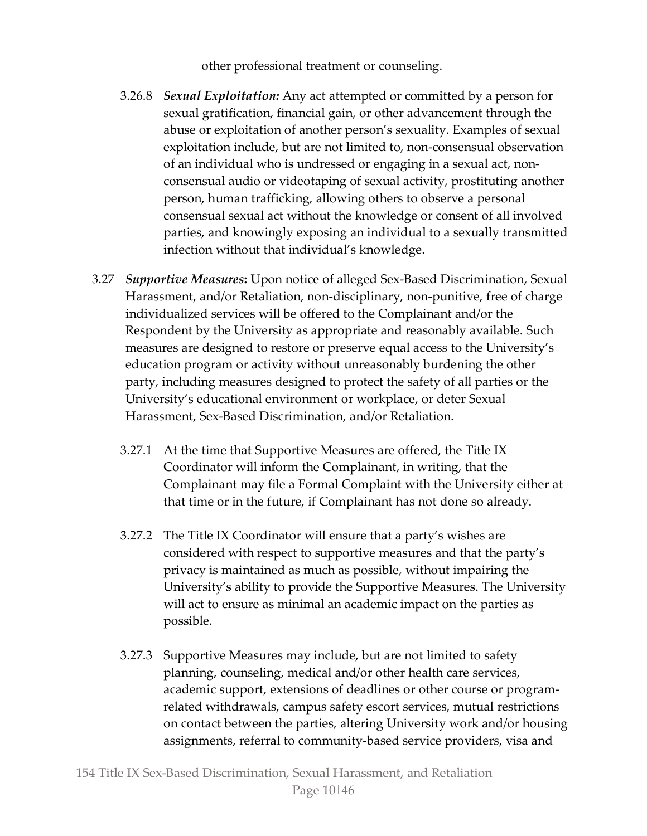other professional treatment or counseling.

- 3.26.8 *Sexual Exploitation:* Any act attempted or committed by a person for sexual gratification, financial gain, or other advancement through the abuse or exploitation of another person's sexuality. Examples of sexual exploitation include, but are not limited to, non-consensual observation of an individual who is undressed or engaging in a sexual act, nonconsensual audio or videotaping of sexual activity, prostituting another person, human trafficking, allowing others to observe a personal consensual sexual act without the knowledge or consent of all involved parties, and knowingly exposing an individual to a sexually transmitted infection without that individual's knowledge.
- 3.27 *Supportive Measures***:** Upon notice of alleged Sex-Based Discrimination, Sexual Harassment, and/or Retaliation, non-disciplinary, non-punitive, free of charge individualized services will be offered to the Complainant and/or the Respondent by the University as appropriate and reasonably available. Such measures are designed to restore or preserve equal access to the University's education program or activity without unreasonably burdening the other party, including measures designed to protect the safety of all parties or the University's educational environment or workplace, or deter Sexual Harassment, Sex-Based Discrimination, and/or Retaliation.
	- 3.27.1 At the time that Supportive Measures are offered, the Title IX Coordinator will inform the Complainant, in writing, that the Complainant may file a Formal Complaint with the University either at that time or in the future, if Complainant has not done so already.
	- 3.27.2 The Title IX Coordinator will ensure that a party's wishes are considered with respect to supportive measures and that the party's privacy is maintained as much as possible, without impairing the University's ability to provide the Supportive Measures. The University will act to ensure as minimal an academic impact on the parties as possible.
	- 3.27.3 Supportive Measures may include, but are not limited to safety planning, counseling, medical and/or other health care services, academic support, extensions of deadlines or other course or programrelated withdrawals, campus safety escort services, mutual restrictions on contact between the parties, altering University work and/or housing assignments, referral to community-based service providers, visa and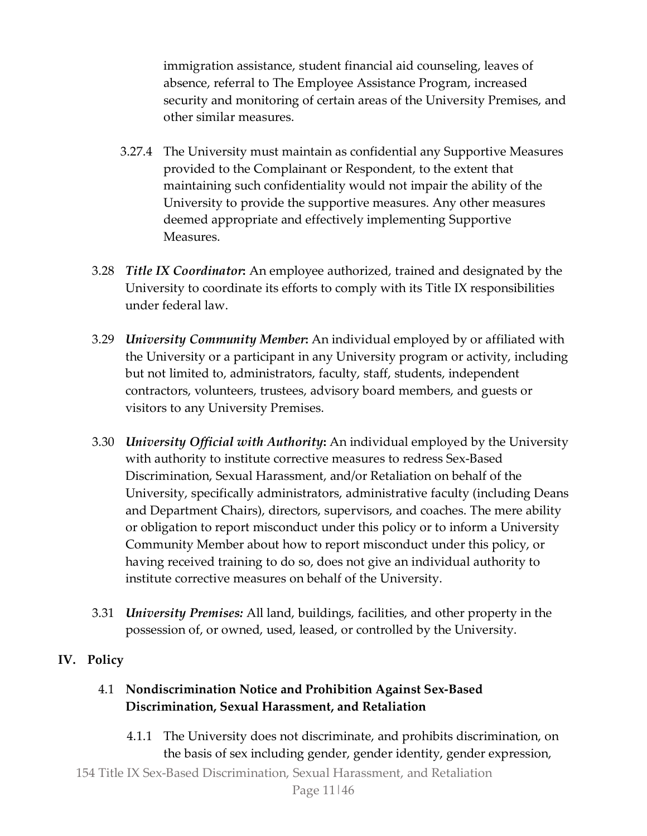immigration assistance, student financial aid counseling, leaves of absence, referral to The Employee Assistance Program, increased security and monitoring of certain areas of the University Premises, and other similar measures.

- 3.27.4 The University must maintain as confidential any Supportive Measures provided to the Complainant or Respondent, to the extent that maintaining such confidentiality would not impair the ability of the University to provide the supportive measures. Any other measures deemed appropriate and effectively implementing Supportive Measures.
- 3.28 *Title IX Coordinator***:** An employee authorized, trained and designated by the University to coordinate its efforts to comply with its Title IX responsibilities under federal law.
- 3.29 *University Community Member***:** An individual employed by or affiliated with the University or a participant in any University program or activity, including but not limited to, administrators, faculty, staff, students, independent contractors, volunteers, trustees, advisory board members, and guests or visitors to any University Premises.
- 3.30 *University Official with Authority***:** An individual employed by the University with authority to institute corrective measures to redress Sex-Based Discrimination, Sexual Harassment, and/or Retaliation on behalf of the University, specifically administrators, administrative faculty (including Deans and Department Chairs), directors, supervisors, and coaches. The mere ability or obligation to report misconduct under this policy or to inform a University Community Member about how to report misconduct under this policy, or having received training to do so, does not give an individual authority to institute corrective measures on behalf of the University.
- 3.31 *University Premises:* All land, buildings, facilities, and other property in the possession of, or owned, used, leased, or controlled by the University.

# **IV. Policy**

# 4.1 **Nondiscrimination Notice and Prohibition Against Sex-Based Discrimination, Sexual Harassment, and Retaliation**

4.1.1 The University does not discriminate, and prohibits discrimination, on the basis of sex including gender, gender identity, gender expression,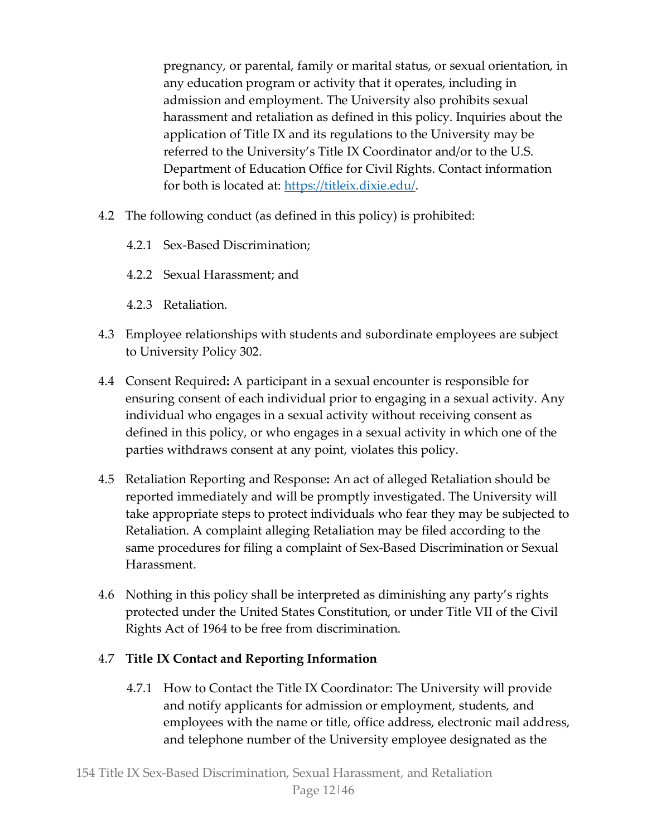pregnancy, or parental, family or marital status, or sexual orientation, in any education program or activity that it operates, including in admission and employment. The University also prohibits sexual harassment and retaliation as defined in this policy. Inquiries about the application of Title IX and its regulations to the University may be referred to the University's Title IX Coordinator and/or to the U.S. Department of Education Office for Civil Rights. Contact information for both is located at: [https://titleix.dixie.edu/.](https://titleix.dixie.edu/)

- 4.2 The following conduct (as defined in this policy) is prohibited:
	- 4.2.1 Sex-Based Discrimination;
	- 4.2.2 Sexual Harassment; and
	- 4.2.3 Retaliation.
- 4.3 Employee relationships with students and subordinate employees are subject to University Policy 302.
- 4.4 Consent Required**:** A participant in a sexual encounter is responsible for ensuring consent of each individual prior to engaging in a sexual activity. Any individual who engages in a sexual activity without receiving consent as defined in this policy, or who engages in a sexual activity in which one of the parties withdraws consent at any point, violates this policy.
- 4.5 Retaliation Reporting and Response**:** An act of alleged Retaliation should be reported immediately and will be promptly investigated. The University will take appropriate steps to protect individuals who fear they may be subjected to Retaliation. A complaint alleging Retaliation may be filed according to the same procedures for filing a complaint of Sex-Based Discrimination or Sexual Harassment.
- 4.6 Nothing in this policy shall be interpreted as diminishing any party's rights protected under the United States Constitution, or under Title VII of the Civil Rights Act of 1964 to be free from discrimination.

# 4.7 **Title IX Contact and Reporting Information**

4.7.1 How to Contact the Title IX Coordinator: The University will provide and notify applicants for admission or employment, students, and employees with the name or title, office address, electronic mail address, and telephone number of the University employee designated as the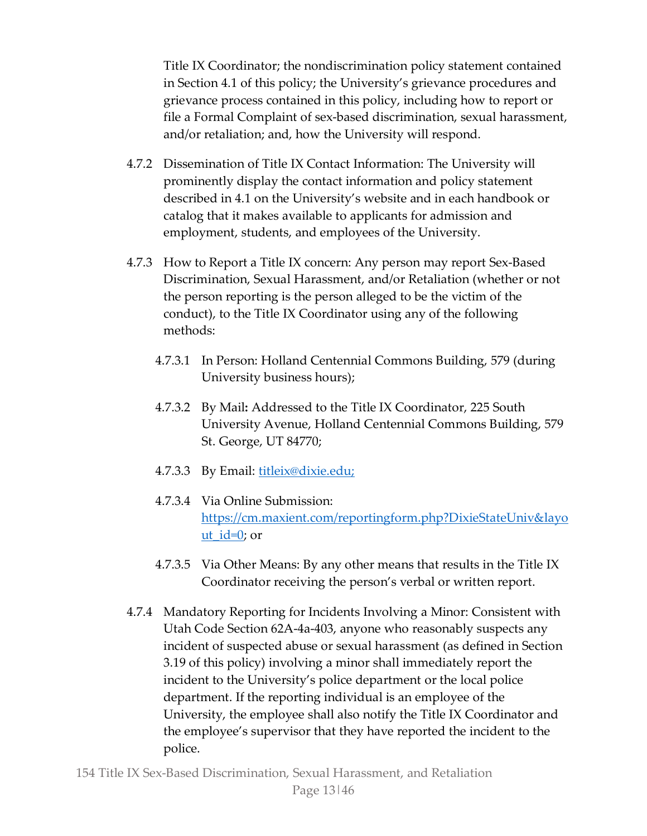Title IX Coordinator; the nondiscrimination policy statement contained in Section 4.1 of this policy; the University's grievance procedures and grievance process contained in this policy, including how to report or file a Formal Complaint of sex-based discrimination, sexual harassment, and/or retaliation; and, how the University will respond.

- 4.7.2 Dissemination of Title IX Contact Information: The University will prominently display the contact information and policy statement described in 4.1 on the University's website and in each handbook or catalog that it makes available to applicants for admission and employment, students, and employees of the University.
- 4.7.3 How to Report a Title IX concern: Any person may report Sex-Based Discrimination, Sexual Harassment, and/or Retaliation (whether or not the person reporting is the person alleged to be the victim of the conduct), to the Title IX Coordinator using any of the following methods:
	- 4.7.3.1 In Person: Holland Centennial Commons Building, 579 (during University business hours);
	- 4.7.3.2 By Mail**:** Addressed to the Title IX Coordinator, 225 South University Avenue, Holland Centennial Commons Building, 579 St. George, UT 84770;
	- 4.7.3.3 By Email: titleix@dixie.edu;
	- 4.7.3.4 Via Online Submission: [https://cm.maxient.com/reportingform.php?DixieStateUniv&layo](https://cm.maxient.com/reportingform.php?DixieStateUniv&layout_id=0) ut  $id=0$ ; or
	- 4.7.3.5 Via Other Means: By any other means that results in the Title IX Coordinator receiving the person's verbal or written report.
- 4.7.4 Mandatory Reporting for Incidents Involving a Minor: Consistent with Utah Code Section 62A-4a-403, anyone who reasonably suspects any incident of suspected abuse or sexual harassment (as defined in Section 3.19 of this policy) involving a minor shall immediately report the incident to the University's police department or the local police department. If the reporting individual is an employee of the University, the employee shall also notify the Title IX Coordinator and the employee's supervisor that they have reported the incident to the police.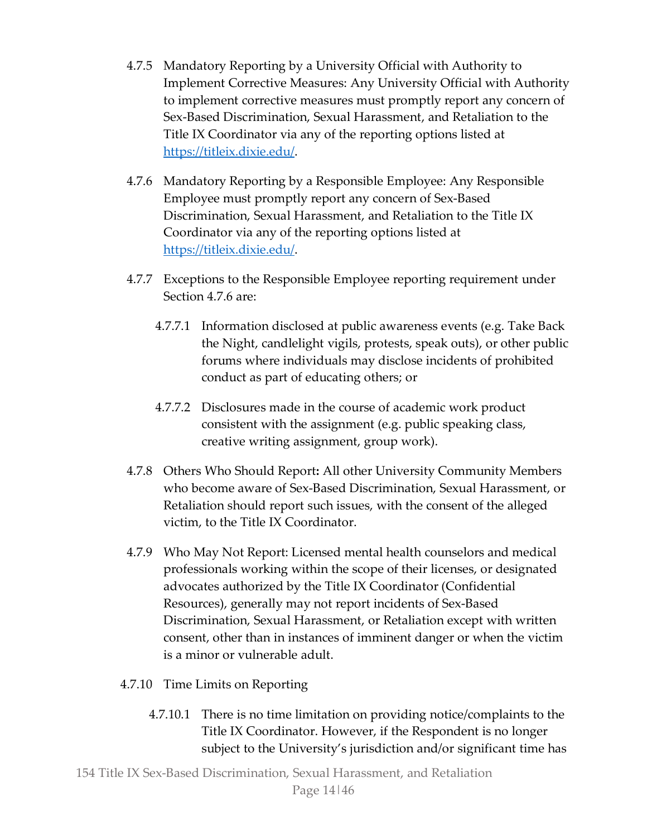- 4.7.5 Mandatory Reporting by a University Official with Authority to Implement Corrective Measures: Any University Official with Authority to implement corrective measures must promptly report any concern of Sex-Based Discrimination, Sexual Harassment, and Retaliation to the Title IX Coordinator via any of the reporting options listed at [https://titleix.dixie.edu/.](https://titleix.dixie.edu/)
- 4.7.6 Mandatory Reporting by a Responsible Employee: Any Responsible Employee must promptly report any concern of Sex-Based Discrimination, Sexual Harassment, and Retaliation to the Title IX Coordinator via any of the reporting options listed at [https://titleix.dixie.edu/.](https://titleix.dixie.edu/)
- 4.7.7 Exceptions to the Responsible Employee reporting requirement under Section 4.7.6 are:
	- 4.7.7.1 Information disclosed at public awareness events (e.g. Take Back the Night, candlelight vigils, protests, speak outs), or other public forums where individuals may disclose incidents of prohibited conduct as part of educating others; or
	- 4.7.7.2 Disclosures made in the course of academic work product consistent with the assignment (e.g. public speaking class, creative writing assignment, group work).
- 4.7.8 Others Who Should Report**:** All other University Community Members who become aware of Sex-Based Discrimination, Sexual Harassment, or Retaliation should report such issues, with the consent of the alleged victim, to the Title IX Coordinator.
- 4.7.9 Who May Not Report: Licensed mental health counselors and medical professionals working within the scope of their licenses, or designated advocates authorized by the Title IX Coordinator (Confidential Resources), generally may not report incidents of Sex-Based Discrimination, Sexual Harassment, or Retaliation except with written consent, other than in instances of imminent danger or when the victim is a minor or vulnerable adult.
- 4.7.10 Time Limits on Reporting
	- 4.7.10.1 There is no time limitation on providing notice/complaints to the Title IX Coordinator. However, if the Respondent is no longer subject to the University's jurisdiction and/or significant time has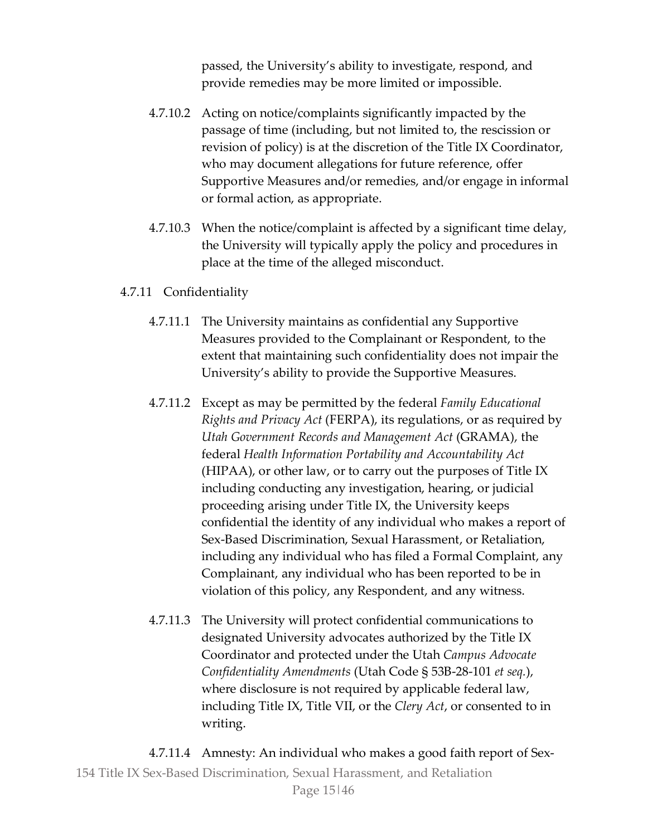passed, the University's ability to investigate, respond, and provide remedies may be more limited or impossible.

- 4.7.10.2 Acting on notice/complaints significantly impacted by the passage of time (including, but not limited to, the rescission or revision of policy) is at the discretion of the Title IX Coordinator, who may document allegations for future reference, offer Supportive Measures and/or remedies, and/or engage in informal or formal action, as appropriate.
- 4.7.10.3 When the notice/complaint is affected by a significant time delay, the University will typically apply the policy and procedures in place at the time of the alleged misconduct.

#### 4.7.11 Confidentiality

- 4.7.11.1 The University maintains as confidential any Supportive Measures provided to the Complainant or Respondent, to the extent that maintaining such confidentiality does not impair the University's ability to provide the Supportive Measures.
- 4.7.11.2 Except as may be permitted by the federal *Family Educational Rights and Privacy Act* (FERPA), its regulations, or as required by *Utah Government Records and Management Act* (GRAMA), the federal *Health Information Portability and Accountability Act*  (HIPAA), or other law, or to carry out the purposes of Title IX including conducting any investigation, hearing, or judicial proceeding arising under Title IX, the University keeps confidential the identity of any individual who makes a report of Sex-Based Discrimination, Sexual Harassment, or Retaliation, including any individual who has filed a Formal Complaint, any Complainant, any individual who has been reported to be in violation of this policy, any Respondent, and any witness.
- 4.7.11.3 The University will protect confidential communications to designated University advocates authorized by the Title IX Coordinator and protected under the Utah *Campus Advocate Confidentiality Amendments* (Utah Code § 53B-28-101 *et seq.*), where disclosure is not required by applicable federal law, including Title IX, Title VII, or the *Clery Act*, or consented to in writing.

154 Title IX Sex-Based Discrimination, Sexual Harassment, and Retaliation Page 15|46 4.7.11.4 Amnesty: An individual who makes a good faith report of Sex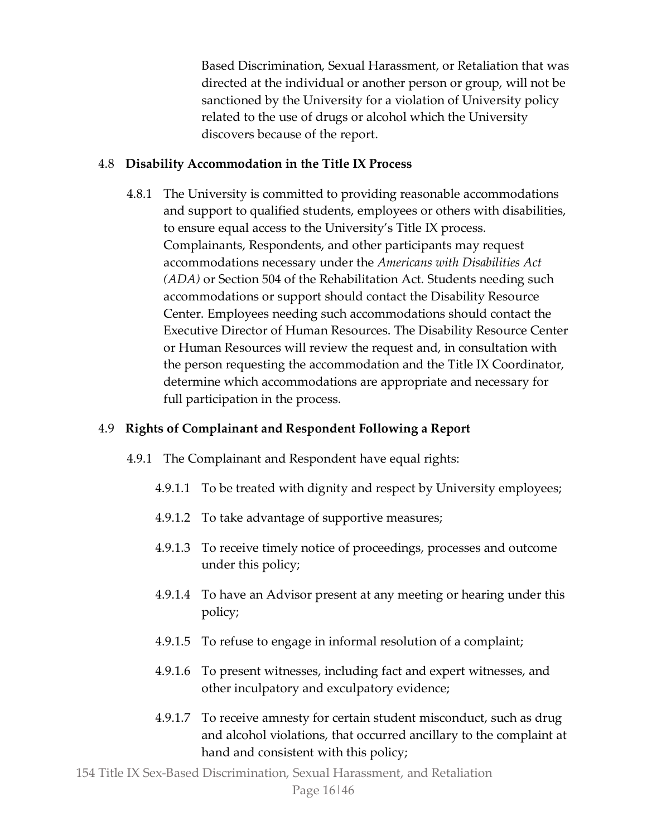Based Discrimination, Sexual Harassment, or Retaliation that was directed at the individual or another person or group, will not be sanctioned by the University for a violation of University policy related to the use of drugs or alcohol which the University discovers because of the report.

#### 4.8 **Disability Accommodation in the Title IX Process**

4.8.1 The University is committed to providing reasonable accommodations and support to qualified students, employees or others with disabilities, to ensure equal access to the University's Title IX process. Complainants, Respondents, and other participants may request accommodations necessary under the *Americans with Disabilities Act (ADA)* or Section 504 of the Rehabilitation Act. Students needing such accommodations or support should contact the Disability Resource Center. Employees needing such accommodations should contact the Executive Director of Human Resources. The Disability Resource Center or Human Resources will review the request and, in consultation with the person requesting the accommodation and the Title IX Coordinator, determine which accommodations are appropriate and necessary for full participation in the process.

# 4.9 **Rights of Complainant and Respondent Following a Report**

- 4.9.1 The Complainant and Respondent have equal rights:
	- 4.9.1.1 To be treated with dignity and respect by University employees;
	- 4.9.1.2 To take advantage of supportive measures;
	- 4.9.1.3 To receive timely notice of proceedings, processes and outcome under this policy;
	- 4.9.1.4 To have an Advisor present at any meeting or hearing under this policy;
	- 4.9.1.5 To refuse to engage in informal resolution of a complaint;
	- 4.9.1.6 To present witnesses, including fact and expert witnesses, and other inculpatory and exculpatory evidence;
	- 4.9.1.7 To receive amnesty for certain student misconduct, such as drug and alcohol violations, that occurred ancillary to the complaint at hand and consistent with this policy;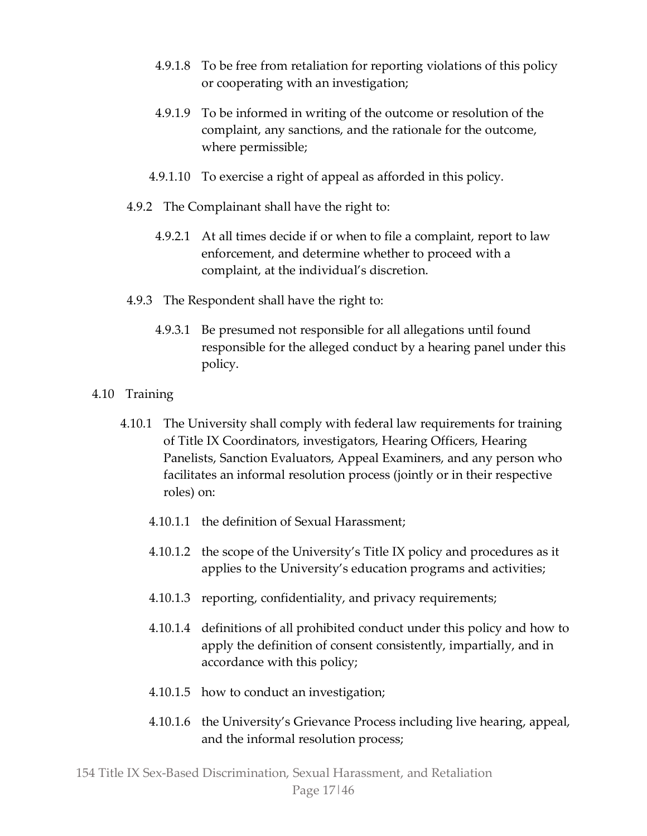- 4.9.1.8 To be free from retaliation for reporting violations of this policy or cooperating with an investigation;
- 4.9.1.9 To be informed in writing of the outcome or resolution of the complaint, any sanctions, and the rationale for the outcome, where permissible;
- 4.9.1.10 To exercise a right of appeal as afforded in this policy.
- 4.9.2 The Complainant shall have the right to:
	- 4.9.2.1 At all times decide if or when to file a complaint, report to law enforcement, and determine whether to proceed with a complaint, at the individual's discretion.
- 4.9.3 The Respondent shall have the right to:
	- 4.9.3.1 Be presumed not responsible for all allegations until found responsible for the alleged conduct by a hearing panel under this policy.
- 4.10 Training
	- 4.10.1 The University shall comply with federal law requirements for training of Title IX Coordinators, investigators, Hearing Officers, Hearing Panelists, Sanction Evaluators, Appeal Examiners, and any person who facilitates an informal resolution process (jointly or in their respective roles) on:
		- 4.10.1.1 the definition of Sexual Harassment;
		- 4.10.1.2 the scope of the University's Title IX policy and procedures as it applies to the University's education programs and activities;
		- 4.10.1.3 reporting, confidentiality, and privacy requirements;
		- 4.10.1.4 definitions of all prohibited conduct under this policy and how to apply the definition of consent consistently, impartially, and in accordance with this policy;
		- 4.10.1.5 how to conduct an investigation;
		- 4.10.1.6 the University's Grievance Process including live hearing, appeal, and the informal resolution process;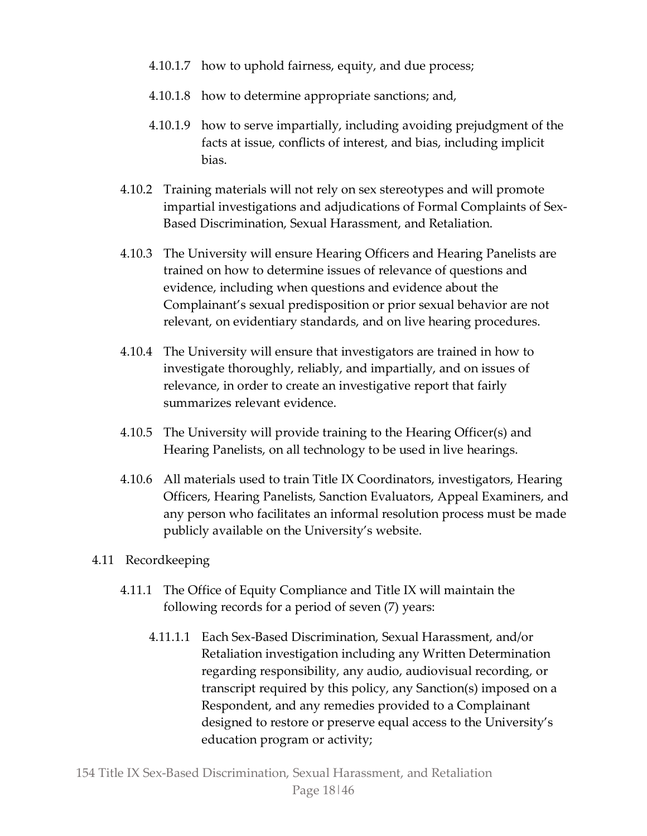- 4.10.1.7 how to uphold fairness, equity, and due process;
- 4.10.1.8 how to determine appropriate sanctions; and,
- 4.10.1.9 how to serve impartially, including avoiding prejudgment of the facts at issue, conflicts of interest, and bias, including implicit bias.
- 4.10.2 Training materials will not rely on sex stereotypes and will promote impartial investigations and adjudications of Formal Complaints of Sex-Based Discrimination, Sexual Harassment, and Retaliation.
- 4.10.3 The University will ensure Hearing Officers and Hearing Panelists are trained on how to determine issues of relevance of questions and evidence, including when questions and evidence about the Complainant's sexual predisposition or prior sexual behavior are not relevant, on evidentiary standards, and on live hearing procedures.
- 4.10.4 The University will ensure that investigators are trained in how to investigate thoroughly, reliably, and impartially, and on issues of relevance, in order to create an investigative report that fairly summarizes relevant evidence.
- 4.10.5 The University will provide training to the Hearing Officer(s) and Hearing Panelists, on all technology to be used in live hearings.
- 4.10.6 All materials used to train Title IX Coordinators, investigators, Hearing Officers, Hearing Panelists, Sanction Evaluators, Appeal Examiners, and any person who facilitates an informal resolution process must be made publicly available on the University's website.

# 4.11 Recordkeeping

- 4.11.1 The Office of Equity Compliance and Title IX will maintain the following records for a period of seven (7) years:
	- 4.11.1.1 Each Sex-Based Discrimination, Sexual Harassment, and/or Retaliation investigation including any Written Determination regarding responsibility, any audio, audiovisual recording, or transcript required by this policy, any Sanction(s) imposed on a Respondent, and any remedies provided to a Complainant designed to restore or preserve equal access to the University's education program or activity;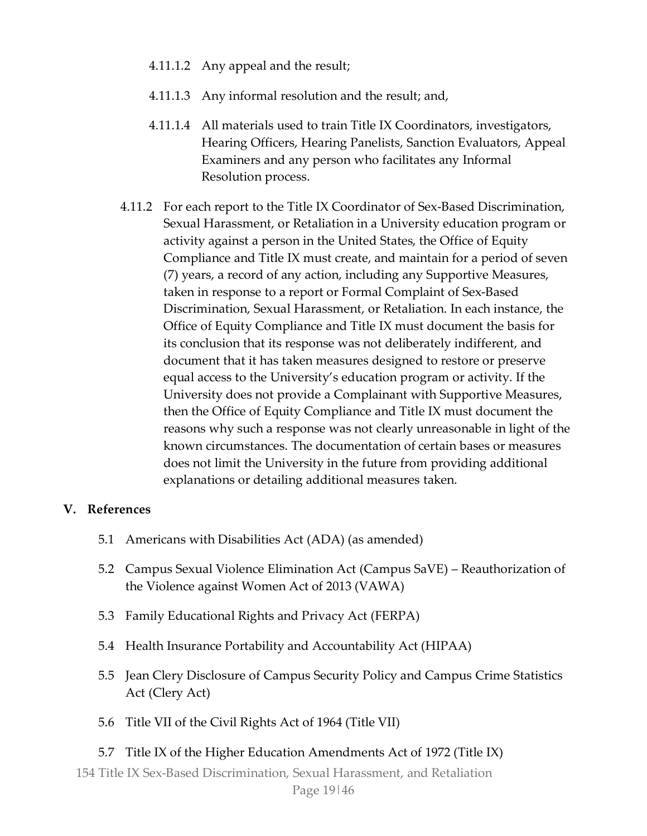- 4.11.1.2 Any appeal and the result;
- 4.11.1.3 Any informal resolution and the result; and,
- 4.11.1.4 All materials used to train Title IX Coordinators, investigators, Hearing Officers, Hearing Panelists, Sanction Evaluators, Appeal Examiners and any person who facilitates any Informal Resolution process.
- 4.11.2 For each report to the Title IX Coordinator of Sex-Based Discrimination, Sexual Harassment, or Retaliation in a University education program or activity against a person in the United States, the Office of Equity Compliance and Title IX must create, and maintain for a period of seven (7) years, a record of any action, including any Supportive Measures, taken in response to a report or Formal Complaint of Sex-Based Discrimination, Sexual Harassment, or Retaliation. In each instance, the Office of Equity Compliance and Title IX must document the basis for its conclusion that its response was not deliberately indifferent, and document that it has taken measures designed to restore or preserve equal access to the University's education program or activity. If the University does not provide a Complainant with Supportive Measures, then the Office of Equity Compliance and Title IX must document the reasons why such a response was not clearly unreasonable in light of the known circumstances. The documentation of certain bases or measures does not limit the University in the future from providing additional explanations or detailing additional measures taken.

#### **V. References**

- 5.1 Americans with Disabilities Act (ADA) (as amended)
- 5.2 Campus Sexual Violence Elimination Act (Campus SaVE) Reauthorization of the Violence against Women Act of 2013 (VAWA)
- 5.3 Family Educational Rights and Privacy Act (FERPA)
- 5.4 Health Insurance Portability and Accountability Act (HIPAA)
- 5.5 Jean Clery Disclosure of Campus Security Policy and Campus Crime Statistics Act (Clery Act)
- 5.6 Title VII of the Civil Rights Act of 1964 (Title VII)

# 5.7 Title IX of the Higher Education Amendments Act of 1972 (Title IX)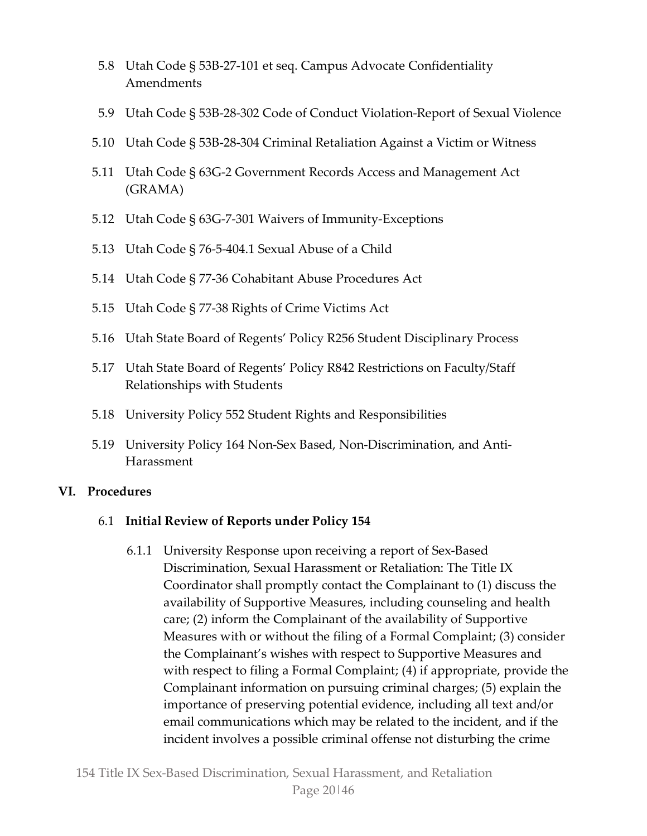- 5.8 Utah Code § 53B-27-101 et seq. Campus Advocate Confidentiality Amendments
- 5.9 Utah Code § 53B-28-302 Code of Conduct Violation-Report of Sexual Violence
- 5.10 Utah Code § 53B-28-304 Criminal Retaliation Against a Victim or Witness
- 5.11 Utah Code § 63G-2 Government Records Access and Management Act (GRAMA)
- 5.12 Utah Code § 63G-7-301 Waivers of Immunity-Exceptions
- 5.13 Utah Code § 76-5-404.1 Sexual Abuse of a Child
- 5.14 Utah Code § 77-36 Cohabitant Abuse Procedures Act
- 5.15 Utah Code § 77-38 Rights of Crime Victims Act
- 5.16 Utah State Board of Regents' Policy R256 Student Disciplinary Process
- 5.17 Utah State Board of Regents' Policy R842 Restrictions on Faculty/Staff Relationships with Students
- 5.18 University Policy 552 Student Rights and Responsibilities
- 5.19 University Policy 164 Non-Sex Based, Non-Discrimination, and Anti-Harassment

# **VI. Procedures**

#### 6.1 **Initial Review of Reports under Policy 154**

6.1.1 University Response upon receiving a report of Sex-Based Discrimination, Sexual Harassment or Retaliation: The Title IX Coordinator shall promptly contact the Complainant to (1) discuss the availability of Supportive Measures, including counseling and health care; (2) inform the Complainant of the availability of Supportive Measures with or without the filing of a Formal Complaint; (3) consider the Complainant's wishes with respect to Supportive Measures and with respect to filing a Formal Complaint; (4) if appropriate, provide the Complainant information on pursuing criminal charges; (5) explain the importance of preserving potential evidence, including all text and/or email communications which may be related to the incident, and if the incident involves a possible criminal offense not disturbing the crime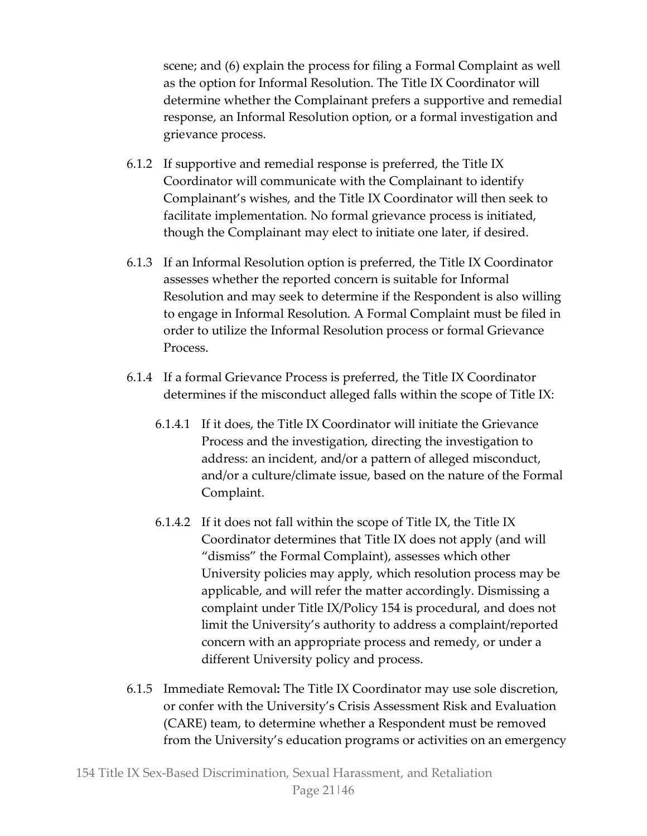scene; and (6) explain the process for filing a Formal Complaint as well as the option for Informal Resolution. The Title IX Coordinator will determine whether the Complainant prefers a supportive and remedial response, an Informal Resolution option, or a formal investigation and grievance process.

- 6.1.2 If supportive and remedial response is preferred, the Title IX Coordinator will communicate with the Complainant to identify Complainant's wishes, and the Title IX Coordinator will then seek to facilitate implementation. No formal grievance process is initiated, though the Complainant may elect to initiate one later, if desired.
- 6.1.3 If an Informal Resolution option is preferred, the Title IX Coordinator assesses whether the reported concern is suitable for Informal Resolution and may seek to determine if the Respondent is also willing to engage in Informal Resolution. A Formal Complaint must be filed in order to utilize the Informal Resolution process or formal Grievance Process.
- 6.1.4 If a formal Grievance Process is preferred, the Title IX Coordinator determines if the misconduct alleged falls within the scope of Title IX:
	- 6.1.4.1 If it does, the Title IX Coordinator will initiate the Grievance Process and the investigation, directing the investigation to address: an incident, and/or a pattern of alleged misconduct, and/or a culture/climate issue, based on the nature of the Formal Complaint.
	- 6.1.4.2 If it does not fall within the scope of Title IX, the Title IX Coordinator determines that Title IX does not apply (and will "dismiss" the Formal Complaint), assesses which other University policies may apply, which resolution process may be applicable, and will refer the matter accordingly. Dismissing a complaint under Title IX/Policy 154 is procedural, and does not limit the University's authority to address a complaint/reported concern with an appropriate process and remedy, or under a different University policy and process.
- 6.1.5 Immediate Removal**:** The Title IX Coordinator may use sole discretion, or confer with the University's Crisis Assessment Risk and Evaluation (CARE) team, to determine whether a Respondent must be removed from the University's education programs or activities on an emergency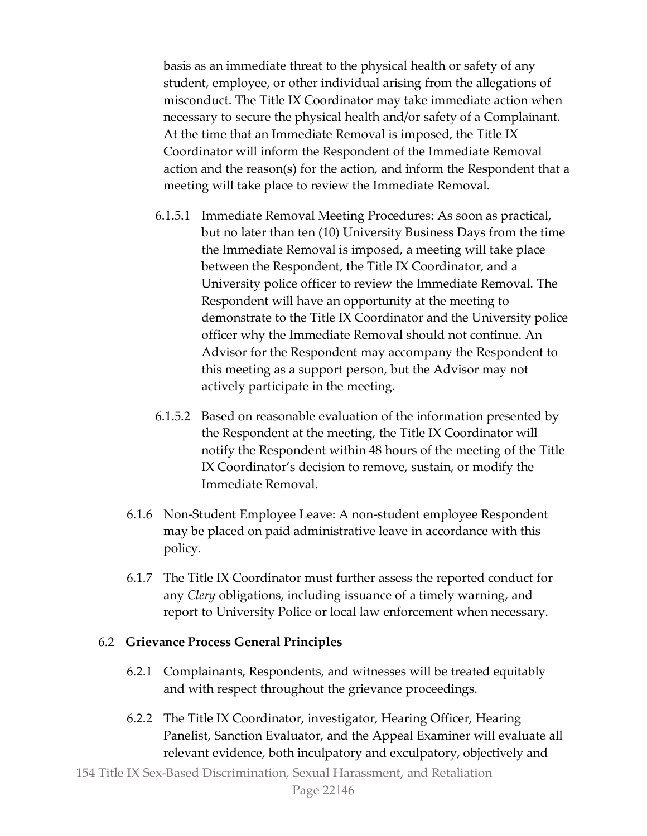basis as an immediate threat to the physical health or safety of any student, employee, or other individual arising from the allegations of misconduct. The Title IX Coordinator may take immediate action when necessary to secure the physical health and/or safety of a Complainant. At the time that an Immediate Removal is imposed, the Title IX Coordinator will inform the Respondent of the Immediate Removal action and the reason(s) for the action, and inform the Respondent that a meeting will take place to review the Immediate Removal.

- 6.1.5.1 Immediate Removal Meeting Procedures: As soon as practical, but no later than ten (10) University Business Days from the time the Immediate Removal is imposed, a meeting will take place between the Respondent, the Title IX Coordinator, and a University police officer to review the Immediate Removal. The Respondent will have an opportunity at the meeting to demonstrate to the Title IX Coordinator and the University police officer why the Immediate Removal should not continue. An Advisor for the Respondent may accompany the Respondent to this meeting as a support person, but the Advisor may not actively participate in the meeting.
- 6.1.5.2 Based on reasonable evaluation of the information presented by the Respondent at the meeting, the Title IX Coordinator will notify the Respondent within 48 hours of the meeting of the Title IX Coordinator's decision to remove, sustain, or modify the Immediate Removal.
- 6.1.6 Non-Student Employee Leave: A non-student employee Respondent may be placed on paid administrative leave in accordance with this policy.
- 6.1.7 The Title IX Coordinator must further assess the reported conduct for any *Clery* obligations, including issuance of a timely warning, and report to University Police or local law enforcement when necessary.

#### 6.2 **Grievance Process General Principles**

- 6.2.1 Complainants, Respondents, and witnesses will be treated equitably and with respect throughout the grievance proceedings.
- 6.2.2 The Title IX Coordinator, investigator, Hearing Officer, Hearing Panelist, Sanction Evaluator, and the Appeal Examiner will evaluate all relevant evidence, both inculpatory and exculpatory, objectively and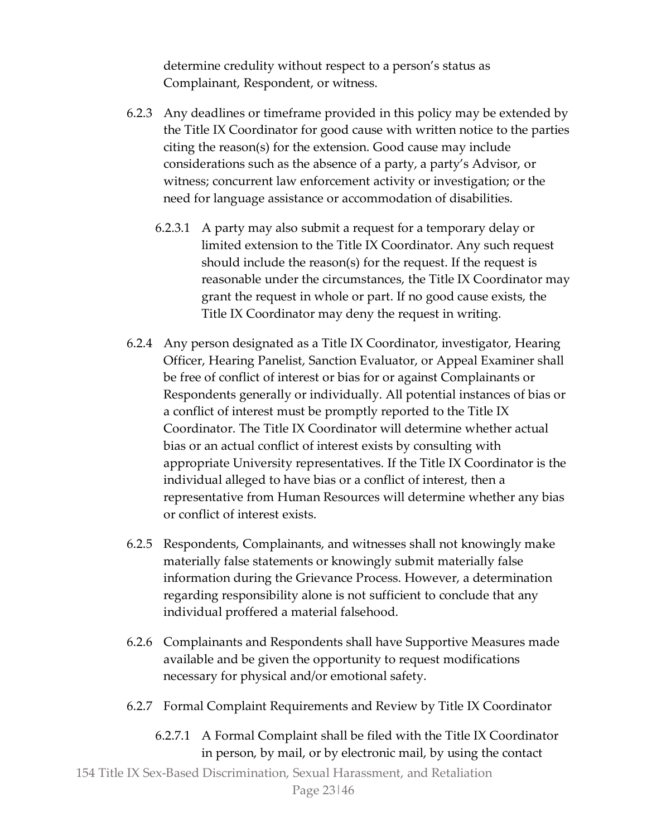determine credulity without respect to a person's status as Complainant, Respondent, or witness.

- 6.2.3 Any deadlines or timeframe provided in this policy may be extended by the Title IX Coordinator for good cause with written notice to the parties citing the reason(s) for the extension. Good cause may include considerations such as the absence of a party, a party's Advisor, or witness; concurrent law enforcement activity or investigation; or the need for language assistance or accommodation of disabilities.
	- 6.2.3.1 A party may also submit a request for a temporary delay or limited extension to the Title IX Coordinator. Any such request should include the reason(s) for the request. If the request is reasonable under the circumstances, the Title IX Coordinator may grant the request in whole or part. If no good cause exists, the Title IX Coordinator may deny the request in writing.
- 6.2.4 Any person designated as a Title IX Coordinator, investigator, Hearing Officer, Hearing Panelist, Sanction Evaluator, or Appeal Examiner shall be free of conflict of interest or bias for or against Complainants or Respondents generally or individually. All potential instances of bias or a conflict of interest must be promptly reported to the Title IX Coordinator. The Title IX Coordinator will determine whether actual bias or an actual conflict of interest exists by consulting with appropriate University representatives. If the Title IX Coordinator is the individual alleged to have bias or a conflict of interest, then a representative from Human Resources will determine whether any bias or conflict of interest exists.
- 6.2.5 Respondents, Complainants, and witnesses shall not knowingly make materially false statements or knowingly submit materially false information during the Grievance Process. However, a determination regarding responsibility alone is not sufficient to conclude that any individual proffered a material falsehood.
- 6.2.6 Complainants and Respondents shall have Supportive Measures made available and be given the opportunity to request modifications necessary for physical and/or emotional safety.
- 6.2.7 Formal Complaint Requirements and Review by Title IX Coordinator
	- 6.2.7.1 A Formal Complaint shall be filed with the Title IX Coordinator in person, by mail, or by electronic mail, by using the contact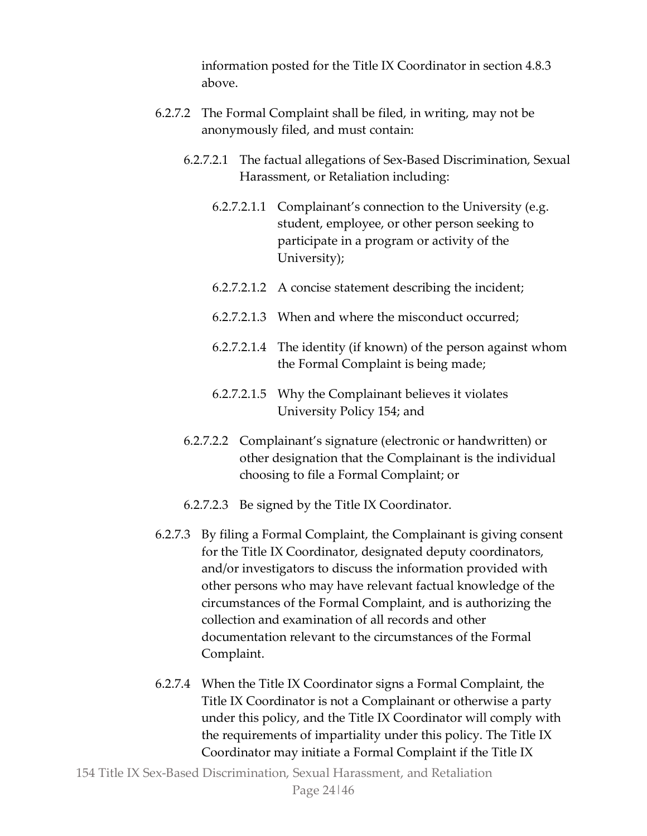information posted for the Title IX Coordinator in section 4.8.3 above.

- 6.2.7.2 The Formal Complaint shall be filed, in writing, may not be anonymously filed, and must contain:
	- 6.2.7.2.1 The factual allegations of Sex-Based Discrimination, Sexual Harassment, or Retaliation including:
		- 6.2.7.2.1.1 Complainant's connection to the University (e.g. student, employee, or other person seeking to participate in a program or activity of the University);
		- 6.2.7.2.1.2 A concise statement describing the incident;
		- 6.2.7.2.1.3 When and where the misconduct occurred;
		- 6.2.7.2.1.4 The identity (if known) of the person against whom the Formal Complaint is being made;
		- 6.2.7.2.1.5 Why the Complainant believes it violates University Policy 154; and
	- 6.2.7.2.2 Complainant's signature (electronic or handwritten) or other designation that the Complainant is the individual choosing to file a Formal Complaint; or
	- 6.2.7.2.3 Be signed by the Title IX Coordinator.
- 6.2.7.3 By filing a Formal Complaint, the Complainant is giving consent for the Title IX Coordinator, designated deputy coordinators, and/or investigators to discuss the information provided with other persons who may have relevant factual knowledge of the circumstances of the Formal Complaint, and is authorizing the collection and examination of all records and other documentation relevant to the circumstances of the Formal Complaint.
- 6.2.7.4 When the Title IX Coordinator signs a Formal Complaint, the Title IX Coordinator is not a Complainant or otherwise a party under this policy, and the Title IX Coordinator will comply with the requirements of impartiality under this policy. The Title IX Coordinator may initiate a Formal Complaint if the Title IX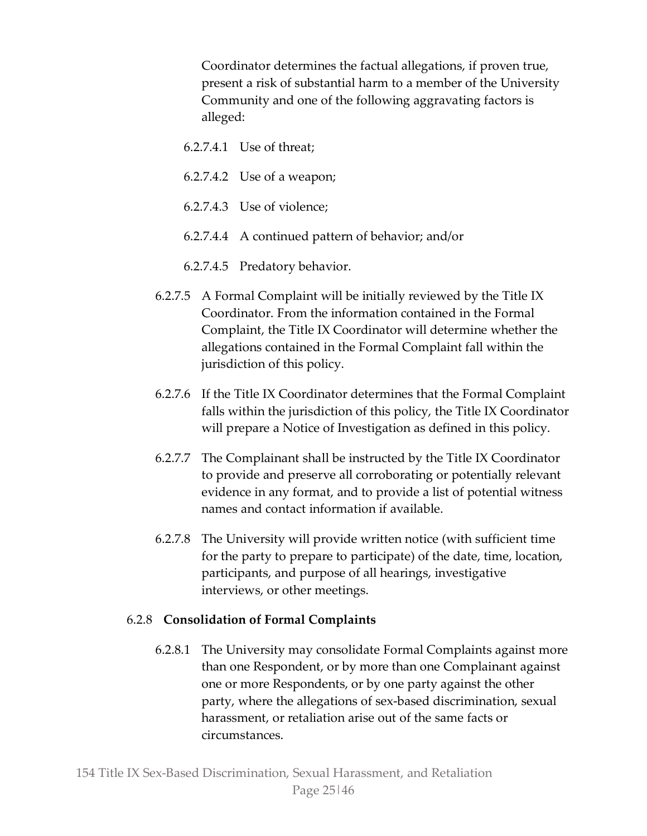Coordinator determines the factual allegations, if proven true, present a risk of substantial harm to a member of the University Community and one of the following aggravating factors is alleged:

- 6.2.7.4.1 Use of threat;
- 6.2.7.4.2 Use of a weapon;
- 6.2.7.4.3 Use of violence;
- 6.2.7.4.4 A continued pattern of behavior; and/or
- 6.2.7.4.5 Predatory behavior.
- 6.2.7.5 A Formal Complaint will be initially reviewed by the Title IX Coordinator. From the information contained in the Formal Complaint, the Title IX Coordinator will determine whether the allegations contained in the Formal Complaint fall within the jurisdiction of this policy.
- 6.2.7.6 If the Title IX Coordinator determines that the Formal Complaint falls within the jurisdiction of this policy, the Title IX Coordinator will prepare a Notice of Investigation as defined in this policy.
- 6.2.7.7 The Complainant shall be instructed by the Title IX Coordinator to provide and preserve all corroborating or potentially relevant evidence in any format, and to provide a list of potential witness names and contact information if available.
- 6.2.7.8 The University will provide written notice (with sufficient time for the party to prepare to participate) of the date, time, location, participants, and purpose of all hearings, investigative interviews, or other meetings.

# 6.2.8 **Consolidation of Formal Complaints**

6.2.8.1 The University may consolidate Formal Complaints against more than one Respondent, or by more than one Complainant against one or more Respondents, or by one party against the other party, where the allegations of sex-based discrimination, sexual harassment, or retaliation arise out of the same facts or circumstances.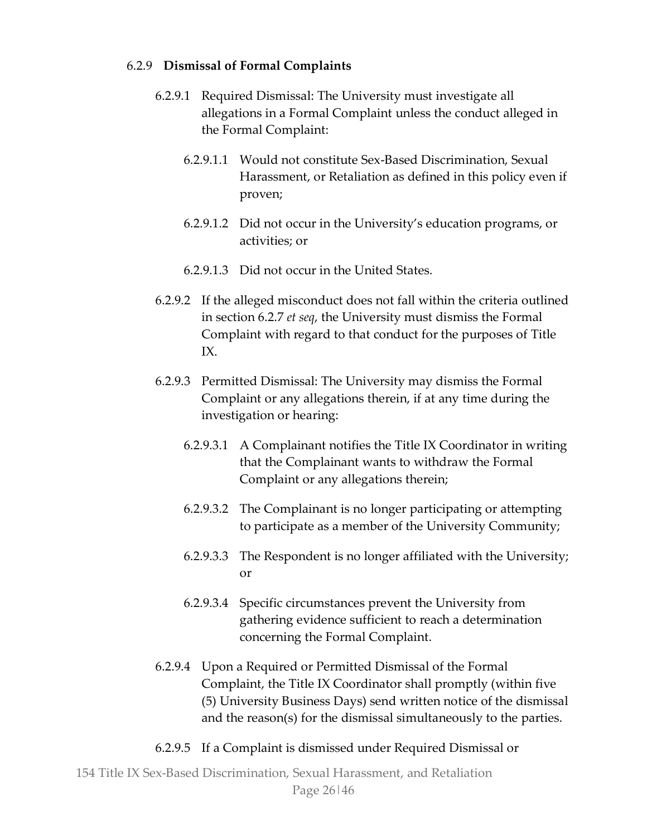#### 6.2.9 **Dismissal of Formal Complaints**

- 6.2.9.1 Required Dismissal: The University must investigate all allegations in a Formal Complaint unless the conduct alleged in the Formal Complaint:
	- 6.2.9.1.1 Would not constitute Sex-Based Discrimination, Sexual Harassment, or Retaliation as defined in this policy even if proven;
	- 6.2.9.1.2 Did not occur in the University's education programs, or activities; or
	- 6.2.9.1.3 Did not occur in the United States.
- 6.2.9.2 If the alleged misconduct does not fall within the criteria outlined in section 6.2.7 *et seq*, the University must dismiss the Formal Complaint with regard to that conduct for the purposes of Title IX.
- 6.2.9.3 Permitted Dismissal: The University may dismiss the Formal Complaint or any allegations therein, if at any time during the investigation or hearing:
	- 6.2.9.3.1 A Complainant notifies the Title IX Coordinator in writing that the Complainant wants to withdraw the Formal Complaint or any allegations therein;
	- 6.2.9.3.2 The Complainant is no longer participating or attempting to participate as a member of the University Community;
	- 6.2.9.3.3 The Respondent is no longer affiliated with the University; or
	- 6.2.9.3.4 Specific circumstances prevent the University from gathering evidence sufficient to reach a determination concerning the Formal Complaint.
- 6.2.9.4 Upon a Required or Permitted Dismissal of the Formal Complaint, the Title IX Coordinator shall promptly (within five (5) University Business Days) send written notice of the dismissal and the reason(s) for the dismissal simultaneously to the parties.
- 6.2.9.5 If a Complaint is dismissed under Required Dismissal or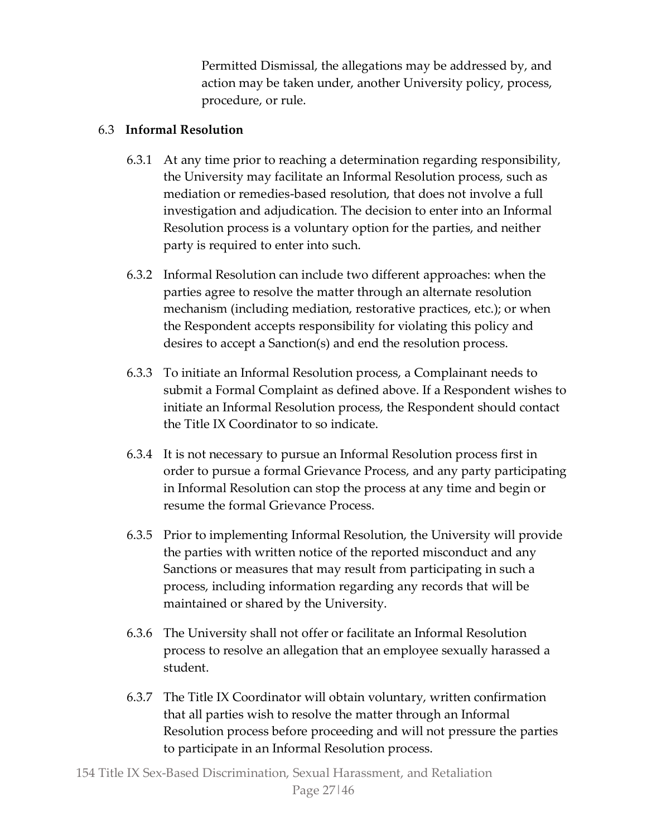Permitted Dismissal, the allegations may be addressed by, and action may be taken under, another University policy, process, procedure, or rule.

# 6.3 **Informal Resolution**

- 6.3.1 At any time prior to reaching a determination regarding responsibility, the University may facilitate an Informal Resolution process, such as mediation or remedies-based resolution, that does not involve a full investigation and adjudication. The decision to enter into an Informal Resolution process is a voluntary option for the parties, and neither party is required to enter into such.
- 6.3.2 Informal Resolution can include two different approaches: when the parties agree to resolve the matter through an alternate resolution mechanism (including mediation, restorative practices, etc.); or when the Respondent accepts responsibility for violating this policy and desires to accept a Sanction(s) and end the resolution process.
- 6.3.3 To initiate an Informal Resolution process, a Complainant needs to submit a Formal Complaint as defined above. If a Respondent wishes to initiate an Informal Resolution process, the Respondent should contact the Title IX Coordinator to so indicate.
- 6.3.4 It is not necessary to pursue an Informal Resolution process first in order to pursue a formal Grievance Process, and any party participating in Informal Resolution can stop the process at any time and begin or resume the formal Grievance Process.
- 6.3.5 Prior to implementing Informal Resolution, the University will provide the parties with written notice of the reported misconduct and any Sanctions or measures that may result from participating in such a process, including information regarding any records that will be maintained or shared by the University.
- 6.3.6 The University shall not offer or facilitate an Informal Resolution process to resolve an allegation that an employee sexually harassed a student.
- 6.3.7 The Title IX Coordinator will obtain voluntary, written confirmation that all parties wish to resolve the matter through an Informal Resolution process before proceeding and will not pressure the parties to participate in an Informal Resolution process.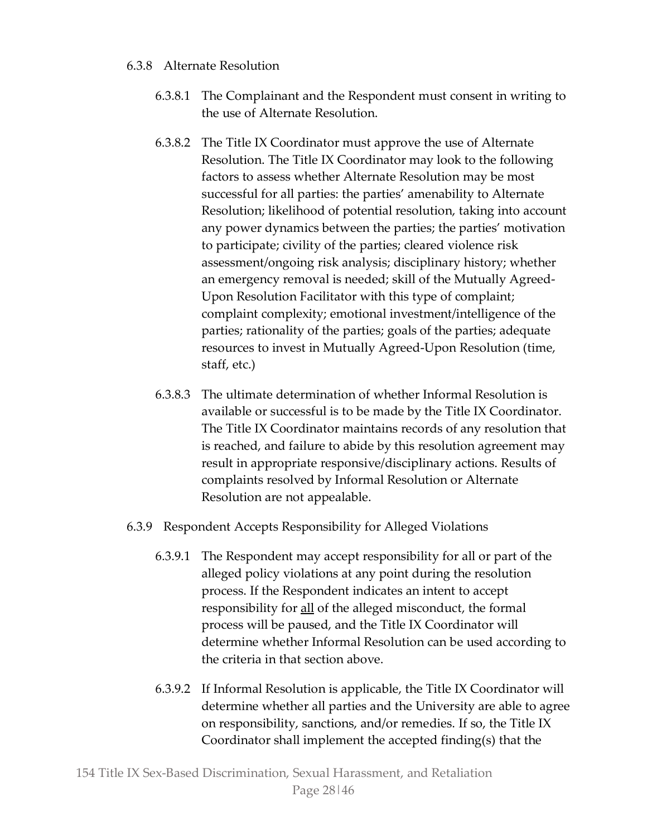# 6.3.8 Alternate Resolution

- 6.3.8.1 The Complainant and the Respondent must consent in writing to the use of Alternate Resolution.
- 6.3.8.2 The Title IX Coordinator must approve the use of Alternate Resolution. The Title IX Coordinator may look to the following factors to assess whether Alternate Resolution may be most successful for all parties: the parties' amenability to Alternate Resolution; likelihood of potential resolution, taking into account any power dynamics between the parties; the parties' motivation to participate; civility of the parties; cleared violence risk assessment/ongoing risk analysis; disciplinary history; whether an emergency removal is needed; skill of the Mutually Agreed-Upon Resolution Facilitator with this type of complaint; complaint complexity; emotional investment/intelligence of the parties; rationality of the parties; goals of the parties; adequate resources to invest in Mutually Agreed-Upon Resolution (time, staff, etc.)
- 6.3.8.3 The ultimate determination of whether Informal Resolution is available or successful is to be made by the Title IX Coordinator. The Title IX Coordinator maintains records of any resolution that is reached, and failure to abide by this resolution agreement may result in appropriate responsive/disciplinary actions. Results of complaints resolved by Informal Resolution or Alternate Resolution are not appealable.
- 6.3.9 Respondent Accepts Responsibility for Alleged Violations
	- 6.3.9.1 The Respondent may accept responsibility for all or part of the alleged policy violations at any point during the resolution process. If the Respondent indicates an intent to accept responsibility for all of the alleged misconduct, the formal process will be paused, and the Title IX Coordinator will determine whether Informal Resolution can be used according to the criteria in that section above.
	- 6.3.9.2 If Informal Resolution is applicable, the Title IX Coordinator will determine whether all parties and the University are able to agree on responsibility, sanctions, and/or remedies. If so, the Title IX Coordinator shall implement the accepted finding(s) that the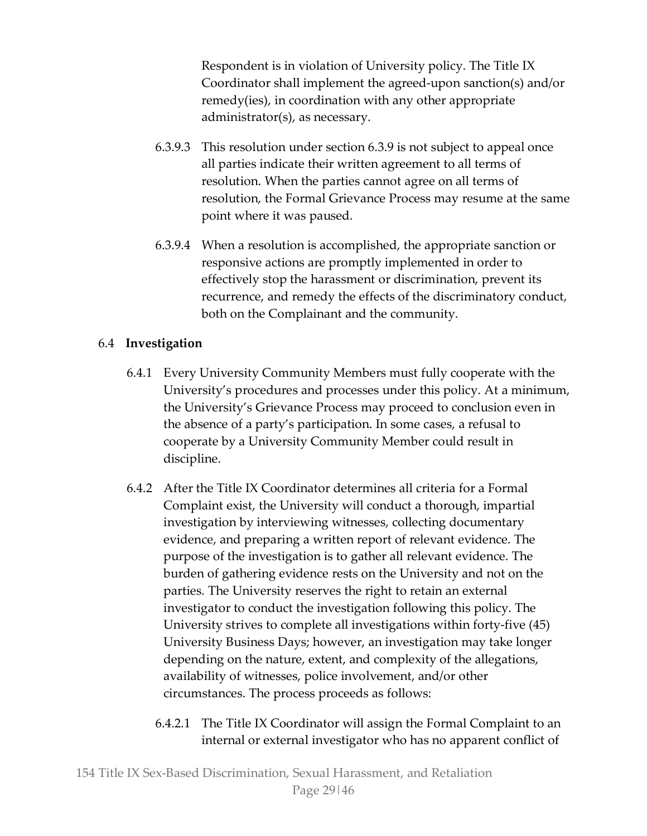Respondent is in violation of University policy. The Title IX Coordinator shall implement the agreed-upon sanction(s) and/or remedy(ies), in coordination with any other appropriate administrator(s), as necessary.

- 6.3.9.3 This resolution under section 6.3.9 is not subject to appeal once all parties indicate their written agreement to all terms of resolution. When the parties cannot agree on all terms of resolution, the Formal Grievance Process may resume at the same point where it was paused.
- 6.3.9.4 When a resolution is accomplished, the appropriate sanction or responsive actions are promptly implemented in order to effectively stop the harassment or discrimination, prevent its recurrence, and remedy the effects of the discriminatory conduct, both on the Complainant and the community.

# 6.4 **Investigation**

- 6.4.1 Every University Community Members must fully cooperate with the University's procedures and processes under this policy. At a minimum, the University's Grievance Process may proceed to conclusion even in the absence of a party's participation. In some cases, a refusal to cooperate by a University Community Member could result in discipline.
- 6.4.2 After the Title IX Coordinator determines all criteria for a Formal Complaint exist, the University will conduct a thorough, impartial investigation by interviewing witnesses, collecting documentary evidence, and preparing a written report of relevant evidence. The purpose of the investigation is to gather all relevant evidence. The burden of gathering evidence rests on the University and not on the parties. The University reserves the right to retain an external investigator to conduct the investigation following this policy. The University strives to complete all investigations within forty-five (45) University Business Days; however, an investigation may take longer depending on the nature, extent, and complexity of the allegations, availability of witnesses, police involvement, and/or other circumstances. The process proceeds as follows:
	- 6.4.2.1 The Title IX Coordinator will assign the Formal Complaint to an internal or external investigator who has no apparent conflict of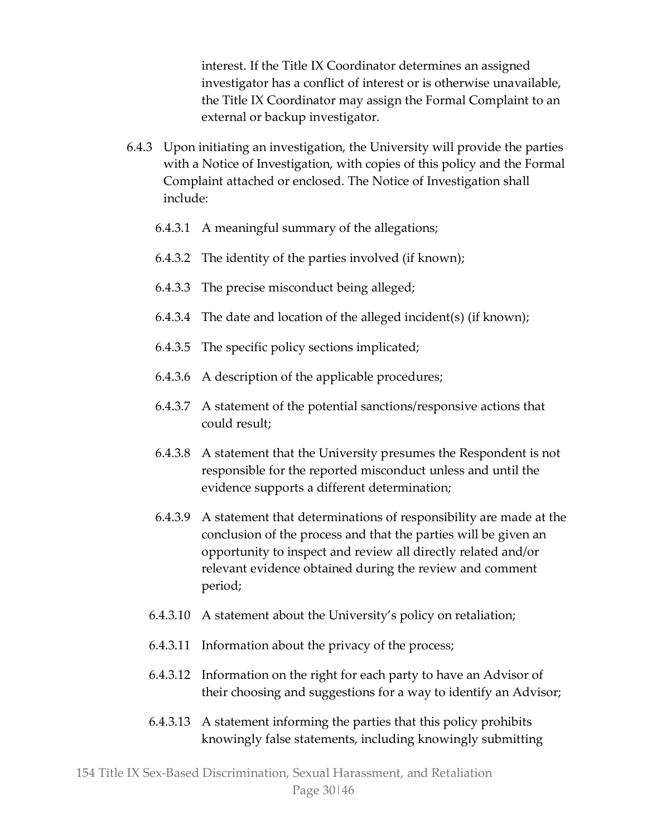interest. If the Title IX Coordinator determines an assigned investigator has a conflict of interest or is otherwise unavailable, the Title IX Coordinator may assign the Formal Complaint to an external or backup investigator.

- 6.4.3 Upon initiating an investigation, the University will provide the parties with a Notice of Investigation, with copies of this policy and the Formal Complaint attached or enclosed. The Notice of Investigation shall include:
	- 6.4.3.1 A meaningful summary of the allegations;
	- 6.4.3.2 The identity of the parties involved (if known);
	- 6.4.3.3 The precise misconduct being alleged;
	- 6.4.3.4 The date and location of the alleged incident(s) (if known);
	- 6.4.3.5 The specific policy sections implicated;
	- 6.4.3.6 A description of the applicable procedures;
	- 6.4.3.7 A statement of the potential sanctions/responsive actions that could result;
	- 6.4.3.8 A statement that the University presumes the Respondent is not responsible for the reported misconduct unless and until the evidence supports a different determination;
	- 6.4.3.9 A statement that determinations of responsibility are made at the conclusion of the process and that the parties will be given an opportunity to inspect and review all directly related and/or relevant evidence obtained during the review and comment period;
	- 6.4.3.10 A statement about the University's policy on retaliation;
	- 6.4.3.11 Information about the privacy of the process;
	- 6.4.3.12 Information on the right for each party to have an Advisor of their choosing and suggestions for a way to identify an Advisor;
	- 6.4.3.13 A statement informing the parties that this policy prohibits knowingly false statements, including knowingly submitting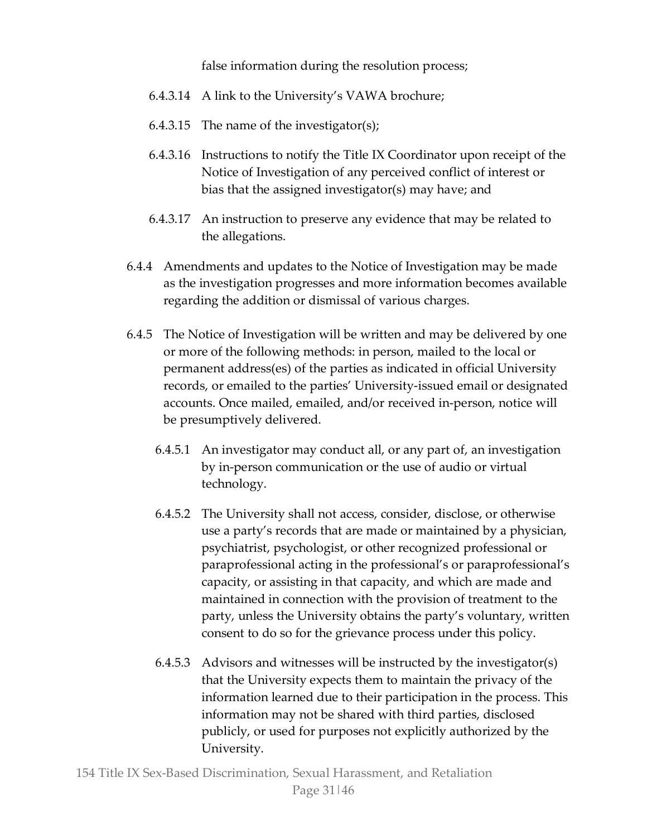false information during the resolution process;

- 6.4.3.14 A link to the University's VAWA brochure;
- 6.4.3.15 The name of the investigator(s);
- 6.4.3.16 Instructions to notify the Title IX Coordinator upon receipt of the Notice of Investigation of any perceived conflict of interest or bias that the assigned investigator(s) may have; and
- 6.4.3.17 An instruction to preserve any evidence that may be related to the allegations.
- 6.4.4 Amendments and updates to the Notice of Investigation may be made as the investigation progresses and more information becomes available regarding the addition or dismissal of various charges.
- 6.4.5 The Notice of Investigation will be written and may be delivered by one or more of the following methods: in person, mailed to the local or permanent address(es) of the parties as indicated in official University records, or emailed to the parties' University-issued email or designated accounts. Once mailed, emailed, and/or received in-person, notice will be presumptively delivered.
	- 6.4.5.1 An investigator may conduct all, or any part of, an investigation by in-person communication or the use of audio or virtual technology.
	- 6.4.5.2 The University shall not access, consider, disclose, or otherwise use a party's records that are made or maintained by a physician, psychiatrist, psychologist, or other recognized professional or paraprofessional acting in the professional's or paraprofessional's capacity, or assisting in that capacity, and which are made and maintained in connection with the provision of treatment to the party, unless the University obtains the party's voluntary, written consent to do so for the grievance process under this policy.
	- 6.4.5.3 Advisors and witnesses will be instructed by the investigator(s) that the University expects them to maintain the privacy of the information learned due to their participation in the process. This information may not be shared with third parties, disclosed publicly, or used for purposes not explicitly authorized by the University.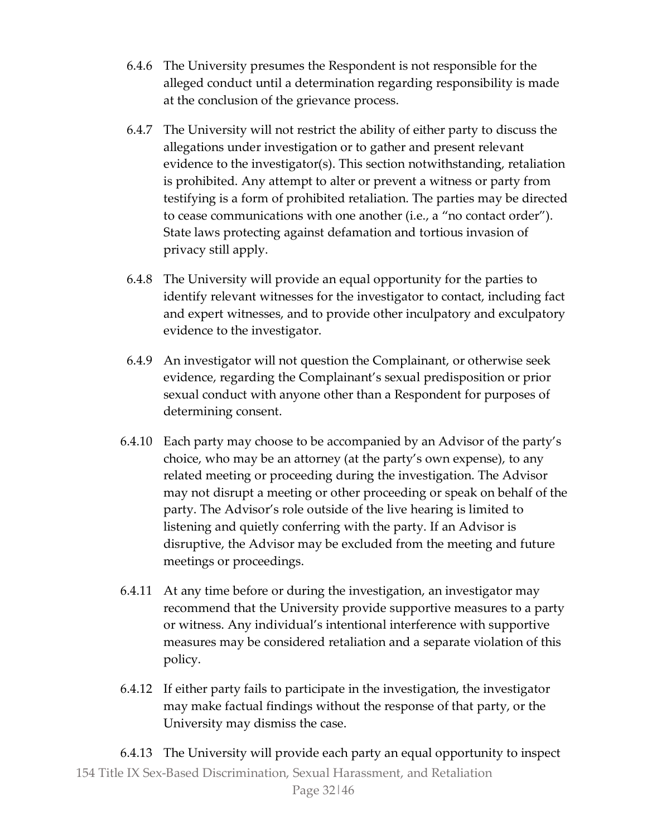- 6.4.6 The University presumes the Respondent is not responsible for the alleged conduct until a determination regarding responsibility is made at the conclusion of the grievance process.
- 6.4.7 The University will not restrict the ability of either party to discuss the allegations under investigation or to gather and present relevant evidence to the investigator(s). This section notwithstanding, retaliation is prohibited. Any attempt to alter or prevent a witness or party from testifying is a form of prohibited retaliation. The parties may be directed to cease communications with one another (i.e., a "no contact order"). State laws protecting against defamation and tortious invasion of privacy still apply.
- 6.4.8 The University will provide an equal opportunity for the parties to identify relevant witnesses for the investigator to contact, including fact and expert witnesses, and to provide other inculpatory and exculpatory evidence to the investigator.
- 6.4.9 An investigator will not question the Complainant, or otherwise seek evidence, regarding the Complainant's sexual predisposition or prior sexual conduct with anyone other than a Respondent for purposes of determining consent.
- 6.4.10 Each party may choose to be accompanied by an Advisor of the party's choice, who may be an attorney (at the party's own expense), to any related meeting or proceeding during the investigation. The Advisor may not disrupt a meeting or other proceeding or speak on behalf of the party. The Advisor's role outside of the live hearing is limited to listening and quietly conferring with the party. If an Advisor is disruptive, the Advisor may be excluded from the meeting and future meetings or proceedings.
- 6.4.11 At any time before or during the investigation, an investigator may recommend that the University provide supportive measures to a party or witness. Any individual's intentional interference with supportive measures may be considered retaliation and a separate violation of this policy.
- 6.4.12 If either party fails to participate in the investigation, the investigator may make factual findings without the response of that party, or the University may dismiss the case.

154 Title IX Sex-Based Discrimination, Sexual Harassment, and Retaliation Page 32|46 6.4.13 The University will provide each party an equal opportunity to inspect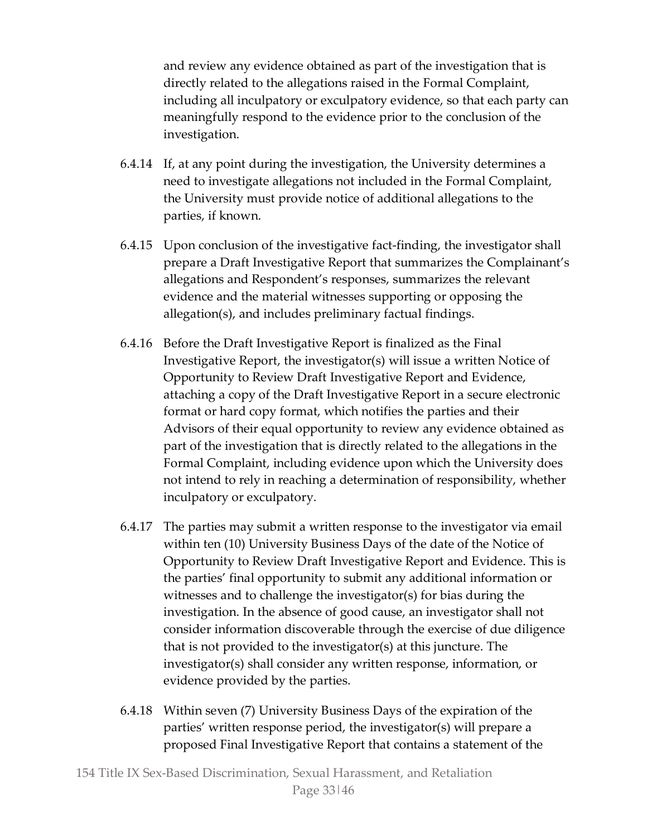and review any evidence obtained as part of the investigation that is directly related to the allegations raised in the Formal Complaint, including all inculpatory or exculpatory evidence, so that each party can meaningfully respond to the evidence prior to the conclusion of the investigation.

- 6.4.14 If, at any point during the investigation, the University determines a need to investigate allegations not included in the Formal Complaint, the University must provide notice of additional allegations to the parties, if known.
- 6.4.15 Upon conclusion of the investigative fact-finding, the investigator shall prepare a Draft Investigative Report that summarizes the Complainant's allegations and Respondent's responses, summarizes the relevant evidence and the material witnesses supporting or opposing the allegation(s), and includes preliminary factual findings.
- 6.4.16 Before the Draft Investigative Report is finalized as the Final Investigative Report, the investigator(s) will issue a written Notice of Opportunity to Review Draft Investigative Report and Evidence, attaching a copy of the Draft Investigative Report in a secure electronic format or hard copy format, which notifies the parties and their Advisors of their equal opportunity to review any evidence obtained as part of the investigation that is directly related to the allegations in the Formal Complaint, including evidence upon which the University does not intend to rely in reaching a determination of responsibility, whether inculpatory or exculpatory.
- 6.4.17 The parties may submit a written response to the investigator via email within ten (10) University Business Days of the date of the Notice of Opportunity to Review Draft Investigative Report and Evidence. This is the parties' final opportunity to submit any additional information or witnesses and to challenge the investigator(s) for bias during the investigation. In the absence of good cause, an investigator shall not consider information discoverable through the exercise of due diligence that is not provided to the investigator(s) at this juncture. The investigator(s) shall consider any written response, information, or evidence provided by the parties.
- 6.4.18 Within seven (7) University Business Days of the expiration of the parties' written response period, the investigator(s) will prepare a proposed Final Investigative Report that contains a statement of the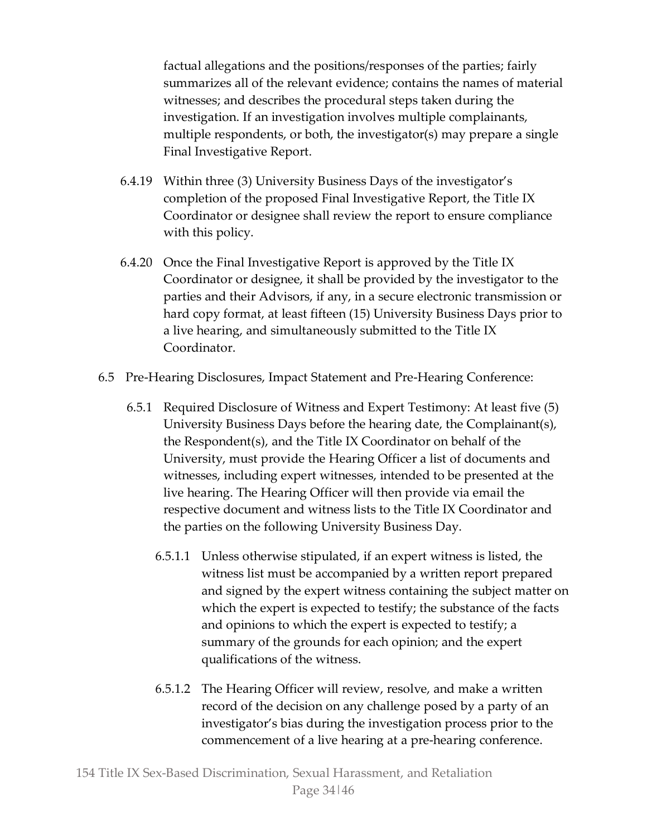factual allegations and the positions/responses of the parties; fairly summarizes all of the relevant evidence; contains the names of material witnesses; and describes the procedural steps taken during the investigation. If an investigation involves multiple complainants, multiple respondents, or both, the investigator(s) may prepare a single Final Investigative Report.

- 6.4.19 Within three (3) University Business Days of the investigator's completion of the proposed Final Investigative Report, the Title IX Coordinator or designee shall review the report to ensure compliance with this policy.
- 6.4.20 Once the Final Investigative Report is approved by the Title IX Coordinator or designee, it shall be provided by the investigator to the parties and their Advisors, if any, in a secure electronic transmission or hard copy format, at least fifteen (15) University Business Days prior to a live hearing, and simultaneously submitted to the Title IX Coordinator.
- 6.5 Pre-Hearing Disclosures, Impact Statement and Pre-Hearing Conference:
	- 6.5.1 Required Disclosure of Witness and Expert Testimony: At least five (5) University Business Days before the hearing date, the Complainant(s), the Respondent(s), and the Title IX Coordinator on behalf of the University, must provide the Hearing Officer a list of documents and witnesses, including expert witnesses, intended to be presented at the live hearing. The Hearing Officer will then provide via email the respective document and witness lists to the Title IX Coordinator and the parties on the following University Business Day.
		- 6.5.1.1 Unless otherwise stipulated, if an expert witness is listed, the witness list must be accompanied by a written report prepared and signed by the expert witness containing the subject matter on which the expert is expected to testify; the substance of the facts and opinions to which the expert is expected to testify; a summary of the grounds for each opinion; and the expert qualifications of the witness.
		- 6.5.1.2 The Hearing Officer will review, resolve, and make a written record of the decision on any challenge posed by a party of an investigator's bias during the investigation process prior to the commencement of a live hearing at a pre-hearing conference.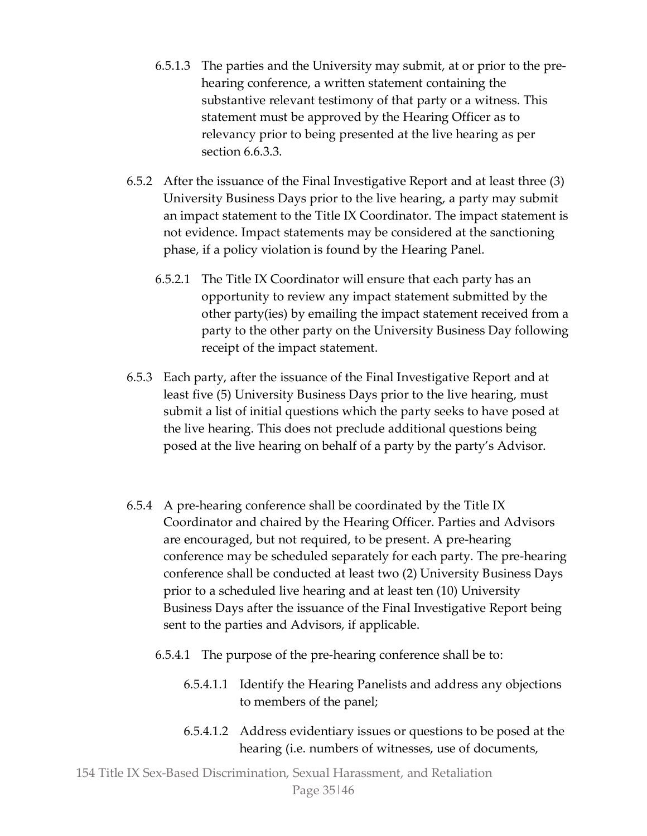- 6.5.1.3 The parties and the University may submit, at or prior to the prehearing conference, a written statement containing the substantive relevant testimony of that party or a witness. This statement must be approved by the Hearing Officer as to relevancy prior to being presented at the live hearing as per section 6.6.3.3.
- 6.5.2 After the issuance of the Final Investigative Report and at least three (3) University Business Days prior to the live hearing, a party may submit an impact statement to the Title IX Coordinator. The impact statement is not evidence. Impact statements may be considered at the sanctioning phase, if a policy violation is found by the Hearing Panel.
	- 6.5.2.1 The Title IX Coordinator will ensure that each party has an opportunity to review any impact statement submitted by the other party(ies) by emailing the impact statement received from a party to the other party on the University Business Day following receipt of the impact statement.
- 6.5.3 Each party, after the issuance of the Final Investigative Report and at least five (5) University Business Days prior to the live hearing, must submit a list of initial questions which the party seeks to have posed at the live hearing. This does not preclude additional questions being posed at the live hearing on behalf of a party by the party's Advisor.
- 6.5.4 A pre-hearing conference shall be coordinated by the Title IX Coordinator and chaired by the Hearing Officer. Parties and Advisors are encouraged, but not required, to be present. A pre-hearing conference may be scheduled separately for each party. The pre-hearing conference shall be conducted at least two (2) University Business Days prior to a scheduled live hearing and at least ten (10) University Business Days after the issuance of the Final Investigative Report being sent to the parties and Advisors, if applicable.
	- 6.5.4.1 The purpose of the pre-hearing conference shall be to:
		- 6.5.4.1.1 Identify the Hearing Panelists and address any objections to members of the panel;
		- 6.5.4.1.2 Address evidentiary issues or questions to be posed at the hearing (i.e. numbers of witnesses, use of documents,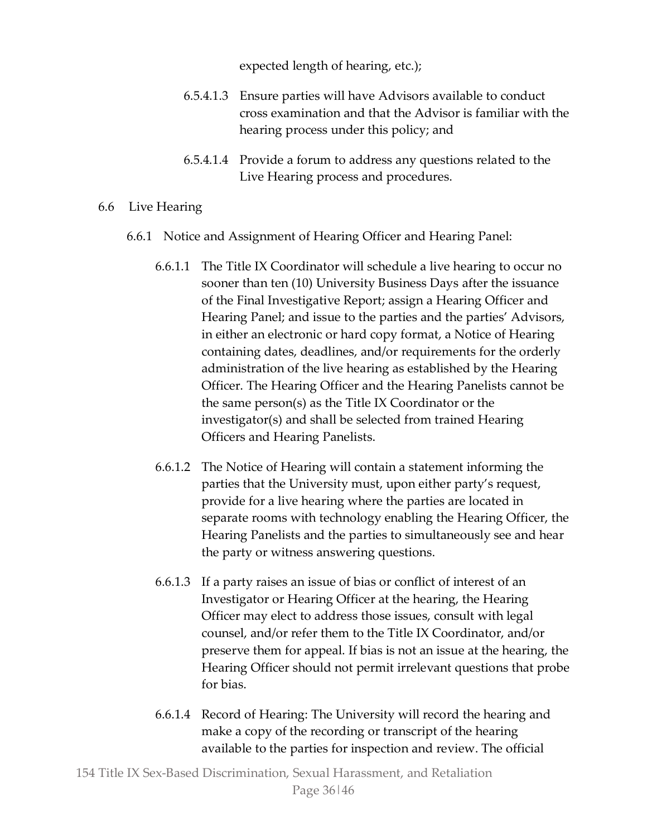expected length of hearing, etc.);

- 6.5.4.1.3 Ensure parties will have Advisors available to conduct cross examination and that the Advisor is familiar with the hearing process under this policy; and
- 6.5.4.1.4 Provide a forum to address any questions related to the Live Hearing process and procedures.
- 6.6 Live Hearing
	- 6.6.1 Notice and Assignment of Hearing Officer and Hearing Panel:
		- 6.6.1.1 The Title IX Coordinator will schedule a live hearing to occur no sooner than ten (10) University Business Days after the issuance of the Final Investigative Report; assign a Hearing Officer and Hearing Panel; and issue to the parties and the parties' Advisors, in either an electronic or hard copy format, a Notice of Hearing containing dates, deadlines, and/or requirements for the orderly administration of the live hearing as established by the Hearing Officer. The Hearing Officer and the Hearing Panelists cannot be the same person(s) as the Title IX Coordinator or the investigator(s) and shall be selected from trained Hearing Officers and Hearing Panelists.
		- 6.6.1.2 The Notice of Hearing will contain a statement informing the parties that the University must, upon either party's request, provide for a live hearing where the parties are located in separate rooms with technology enabling the Hearing Officer, the Hearing Panelists and the parties to simultaneously see and hear the party or witness answering questions.
		- 6.6.1.3 If a party raises an issue of bias or conflict of interest of an Investigator or Hearing Officer at the hearing, the Hearing Officer may elect to address those issues, consult with legal counsel, and/or refer them to the Title IX Coordinator, and/or preserve them for appeal. If bias is not an issue at the hearing, the Hearing Officer should not permit irrelevant questions that probe for bias.
		- 6.6.1.4 Record of Hearing: The University will record the hearing and make a copy of the recording or transcript of the hearing available to the parties for inspection and review. The official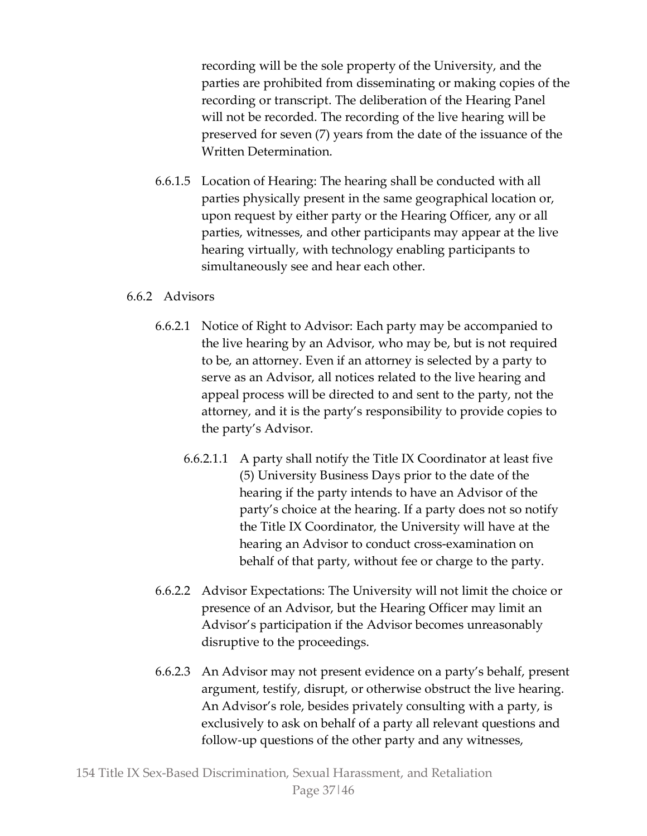recording will be the sole property of the University, and the parties are prohibited from disseminating or making copies of the recording or transcript. The deliberation of the Hearing Panel will not be recorded. The recording of the live hearing will be preserved for seven (7) years from the date of the issuance of the Written Determination.

6.6.1.5 Location of Hearing: The hearing shall be conducted with all parties physically present in the same geographical location or, upon request by either party or the Hearing Officer, any or all parties, witnesses, and other participants may appear at the live hearing virtually, with technology enabling participants to simultaneously see and hear each other.

# 6.6.2 Advisors

- 6.6.2.1 Notice of Right to Advisor: Each party may be accompanied to the live hearing by an Advisor, who may be, but is not required to be, an attorney. Even if an attorney is selected by a party to serve as an Advisor, all notices related to the live hearing and appeal process will be directed to and sent to the party, not the attorney, and it is the party's responsibility to provide copies to the party's Advisor.
	- 6.6.2.1.1 A party shall notify the Title IX Coordinator at least five (5) University Business Days prior to the date of the hearing if the party intends to have an Advisor of the party's choice at the hearing. If a party does not so notify the Title IX Coordinator, the University will have at the hearing an Advisor to conduct cross-examination on behalf of that party, without fee or charge to the party.
- 6.6.2.2 Advisor Expectations: The University will not limit the choice or presence of an Advisor, but the Hearing Officer may limit an Advisor's participation if the Advisor becomes unreasonably disruptive to the proceedings.
- 6.6.2.3 An Advisor may not present evidence on a party's behalf, present argument, testify, disrupt, or otherwise obstruct the live hearing. An Advisor's role, besides privately consulting with a party, is exclusively to ask on behalf of a party all relevant questions and follow-up questions of the other party and any witnesses,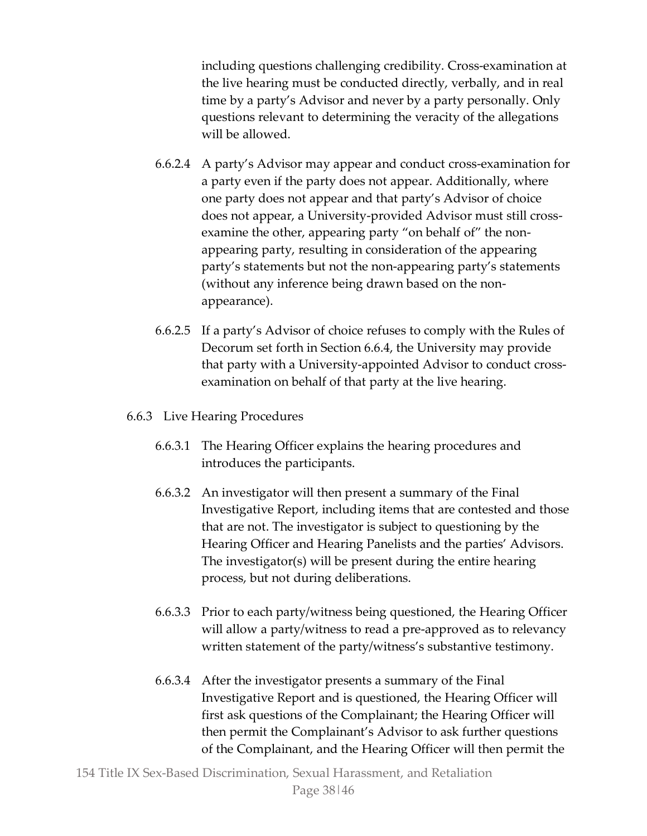including questions challenging credibility. Cross-examination at the live hearing must be conducted directly, verbally, and in real time by a party's Advisor and never by a party personally. Only questions relevant to determining the veracity of the allegations will be allowed.

- 6.6.2.4 A party's Advisor may appear and conduct cross-examination for a party even if the party does not appear. Additionally, where one party does not appear and that party's Advisor of choice does not appear, a University-provided Advisor must still crossexamine the other, appearing party "on behalf of" the nonappearing party, resulting in consideration of the appearing party's statements but not the non-appearing party's statements (without any inference being drawn based on the nonappearance).
- 6.6.2.5 If a party's Advisor of choice refuses to comply with the Rules of Decorum set forth in Section 6.6.4, the University may provide that party with a University-appointed Advisor to conduct crossexamination on behalf of that party at the live hearing.

# 6.6.3 Live Hearing Procedures

- 6.6.3.1 The Hearing Officer explains the hearing procedures and introduces the participants.
- 6.6.3.2 An investigator will then present a summary of the Final Investigative Report, including items that are contested and those that are not. The investigator is subject to questioning by the Hearing Officer and Hearing Panelists and the parties' Advisors. The investigator(s) will be present during the entire hearing process, but not during deliberations.
- 6.6.3.3 Prior to each party/witness being questioned, the Hearing Officer will allow a party/witness to read a pre-approved as to relevancy written statement of the party/witness's substantive testimony.
- 6.6.3.4 After the investigator presents a summary of the Final Investigative Report and is questioned, the Hearing Officer will first ask questions of the Complainant; the Hearing Officer will then permit the Complainant's Advisor to ask further questions of the Complainant, and the Hearing Officer will then permit the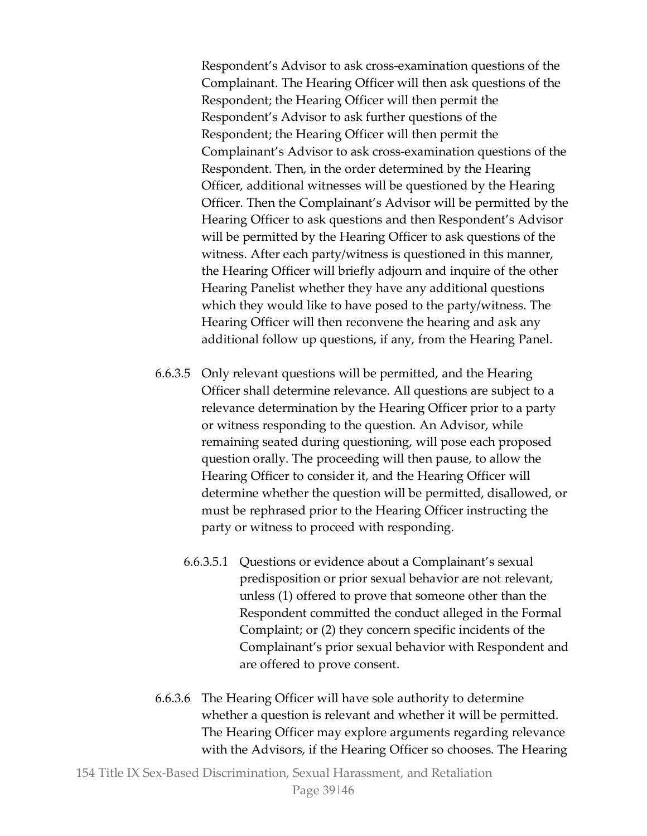Respondent's Advisor to ask cross-examination questions of the Complainant. The Hearing Officer will then ask questions of the Respondent; the Hearing Officer will then permit the Respondent's Advisor to ask further questions of the Respondent; the Hearing Officer will then permit the Complainant's Advisor to ask cross-examination questions of the Respondent. Then, in the order determined by the Hearing Officer, additional witnesses will be questioned by the Hearing Officer. Then the Complainant's Advisor will be permitted by the Hearing Officer to ask questions and then Respondent's Advisor will be permitted by the Hearing Officer to ask questions of the witness. After each party/witness is questioned in this manner, the Hearing Officer will briefly adjourn and inquire of the other Hearing Panelist whether they have any additional questions which they would like to have posed to the party/witness. The Hearing Officer will then reconvene the hearing and ask any additional follow up questions, if any, from the Hearing Panel.

- 6.6.3.5 Only relevant questions will be permitted, and the Hearing Officer shall determine relevance. All questions are subject to a relevance determination by the Hearing Officer prior to a party or witness responding to the question. An Advisor, while remaining seated during questioning, will pose each proposed question orally. The proceeding will then pause, to allow the Hearing Officer to consider it, and the Hearing Officer will determine whether the question will be permitted, disallowed, or must be rephrased prior to the Hearing Officer instructing the party or witness to proceed with responding.
	- 6.6.3.5.1 Questions or evidence about a Complainant's sexual predisposition or prior sexual behavior are not relevant, unless (1) offered to prove that someone other than the Respondent committed the conduct alleged in the Formal Complaint; or (2) they concern specific incidents of the Complainant's prior sexual behavior with Respondent and are offered to prove consent.
- 6.6.3.6 The Hearing Officer will have sole authority to determine whether a question is relevant and whether it will be permitted. The Hearing Officer may explore arguments regarding relevance with the Advisors, if the Hearing Officer so chooses. The Hearing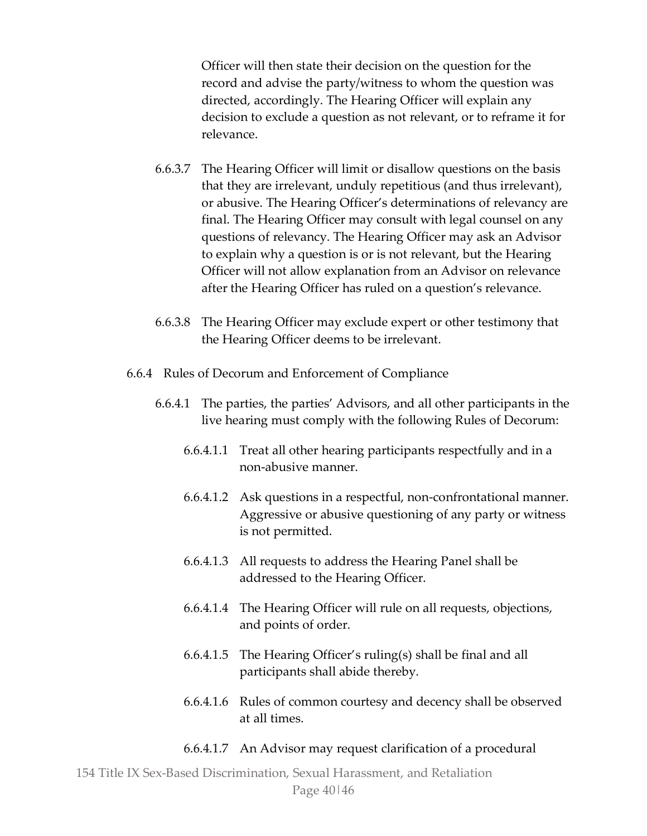Officer will then state their decision on the question for the record and advise the party/witness to whom the question was directed, accordingly. The Hearing Officer will explain any decision to exclude a question as not relevant, or to reframe it for relevance.

- 6.6.3.7 The Hearing Officer will limit or disallow questions on the basis that they are irrelevant, unduly repetitious (and thus irrelevant), or abusive. The Hearing Officer's determinations of relevancy are final. The Hearing Officer may consult with legal counsel on any questions of relevancy. The Hearing Officer may ask an Advisor to explain why a question is or is not relevant, but the Hearing Officer will not allow explanation from an Advisor on relevance after the Hearing Officer has ruled on a question's relevance.
- 6.6.3.8 The Hearing Officer may exclude expert or other testimony that the Hearing Officer deems to be irrelevant.
- 6.6.4 Rules of Decorum and Enforcement of Compliance
	- 6.6.4.1 The parties, the parties' Advisors, and all other participants in the live hearing must comply with the following Rules of Decorum:
		- 6.6.4.1.1 Treat all other hearing participants respectfully and in a non-abusive manner.
		- 6.6.4.1.2 Ask questions in a respectful, non-confrontational manner. Aggressive or abusive questioning of any party or witness is not permitted.
		- 6.6.4.1.3 All requests to address the Hearing Panel shall be addressed to the Hearing Officer.
		- 6.6.4.1.4 The Hearing Officer will rule on all requests, objections, and points of order.
		- 6.6.4.1.5 The Hearing Officer's ruling(s) shall be final and all participants shall abide thereby.
		- 6.6.4.1.6 Rules of common courtesy and decency shall be observed at all times.
		- 6.6.4.1.7 An Advisor may request clarification of a procedural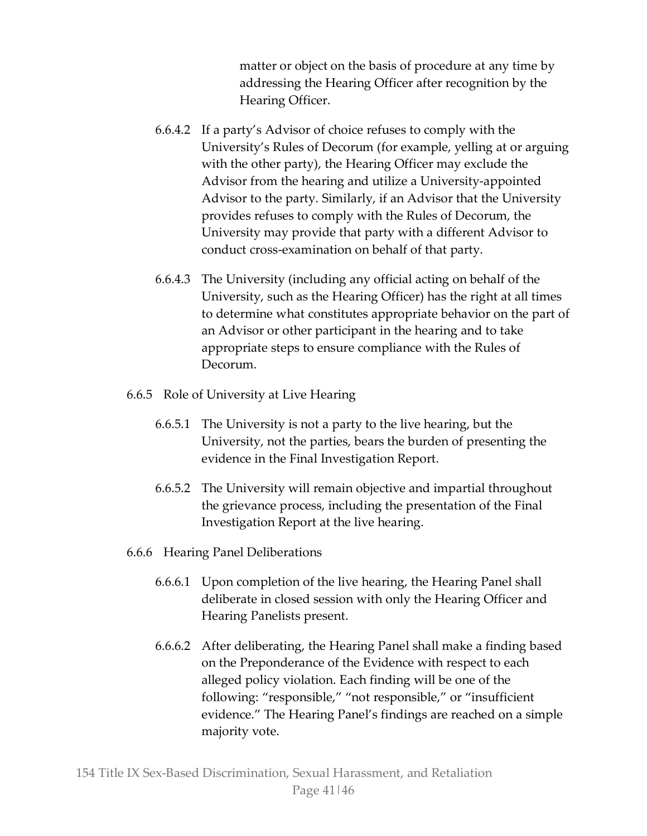matter or object on the basis of procedure at any time by addressing the Hearing Officer after recognition by the Hearing Officer.

- 6.6.4.2 If a party's Advisor of choice refuses to comply with the University's Rules of Decorum (for example, yelling at or arguing with the other party), the Hearing Officer may exclude the Advisor from the hearing and utilize a University-appointed Advisor to the party. Similarly, if an Advisor that the University provides refuses to comply with the Rules of Decorum, the University may provide that party with a different Advisor to conduct cross-examination on behalf of that party.
- 6.6.4.3 The University (including any official acting on behalf of the University, such as the Hearing Officer) has the right at all times to determine what constitutes appropriate behavior on the part of an Advisor or other participant in the hearing and to take appropriate steps to ensure compliance with the Rules of Decorum.
- 6.6.5 Role of University at Live Hearing
	- 6.6.5.1 The University is not a party to the live hearing, but the University, not the parties, bears the burden of presenting the evidence in the Final Investigation Report.
	- 6.6.5.2 The University will remain objective and impartial throughout the grievance process, including the presentation of the Final Investigation Report at the live hearing.
- 6.6.6 Hearing Panel Deliberations
	- 6.6.6.1 Upon completion of the live hearing, the Hearing Panel shall deliberate in closed session with only the Hearing Officer and Hearing Panelists present.
	- 6.6.6.2 After deliberating, the Hearing Panel shall make a finding based on the Preponderance of the Evidence with respect to each alleged policy violation. Each finding will be one of the following: "responsible," "not responsible," or "insufficient evidence." The Hearing Panel's findings are reached on a simple majority vote.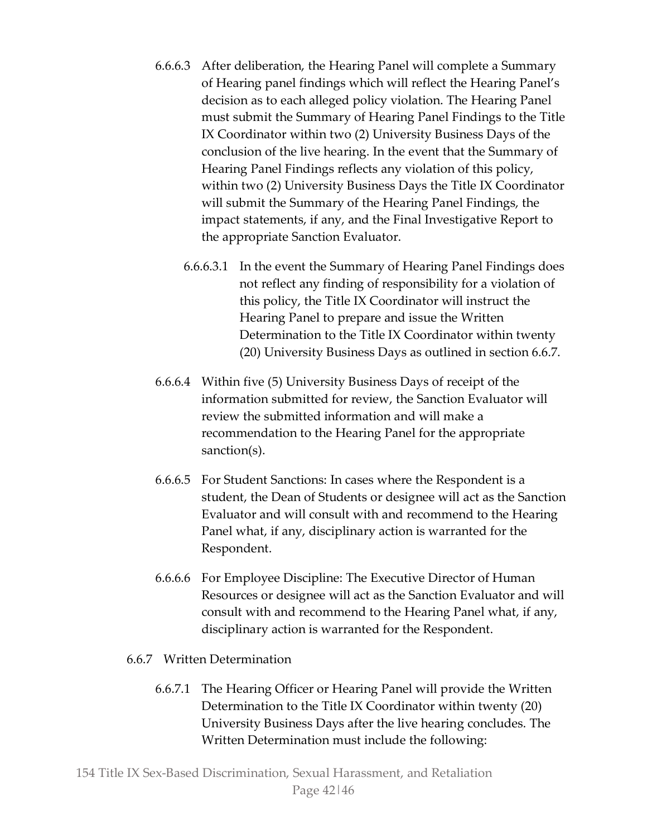- 6.6.6.3 After deliberation, the Hearing Panel will complete a Summary of Hearing panel findings which will reflect the Hearing Panel's decision as to each alleged policy violation. The Hearing Panel must submit the Summary of Hearing Panel Findings to the Title IX Coordinator within two (2) University Business Days of the conclusion of the live hearing. In the event that the Summary of Hearing Panel Findings reflects any violation of this policy, within two (2) University Business Days the Title IX Coordinator will submit the Summary of the Hearing Panel Findings, the impact statements, if any, and the Final Investigative Report to the appropriate Sanction Evaluator.
	- 6.6.6.3.1 In the event the Summary of Hearing Panel Findings does not reflect any finding of responsibility for a violation of this policy, the Title IX Coordinator will instruct the Hearing Panel to prepare and issue the Written Determination to the Title IX Coordinator within twenty (20) University Business Days as outlined in section 6.6.7.
- 6.6.6.4 Within five (5) University Business Days of receipt of the information submitted for review, the Sanction Evaluator will review the submitted information and will make a recommendation to the Hearing Panel for the appropriate sanction(s).
- 6.6.6.5 For Student Sanctions: In cases where the Respondent is a student, the Dean of Students or designee will act as the Sanction Evaluator and will consult with and recommend to the Hearing Panel what, if any, disciplinary action is warranted for the Respondent.
- 6.6.6.6 For Employee Discipline: The Executive Director of Human Resources or designee will act as the Sanction Evaluator and will consult with and recommend to the Hearing Panel what, if any, disciplinary action is warranted for the Respondent.
- 6.6.7 Written Determination
	- 6.6.7.1 The Hearing Officer or Hearing Panel will provide the Written Determination to the Title IX Coordinator within twenty (20) University Business Days after the live hearing concludes. The Written Determination must include the following: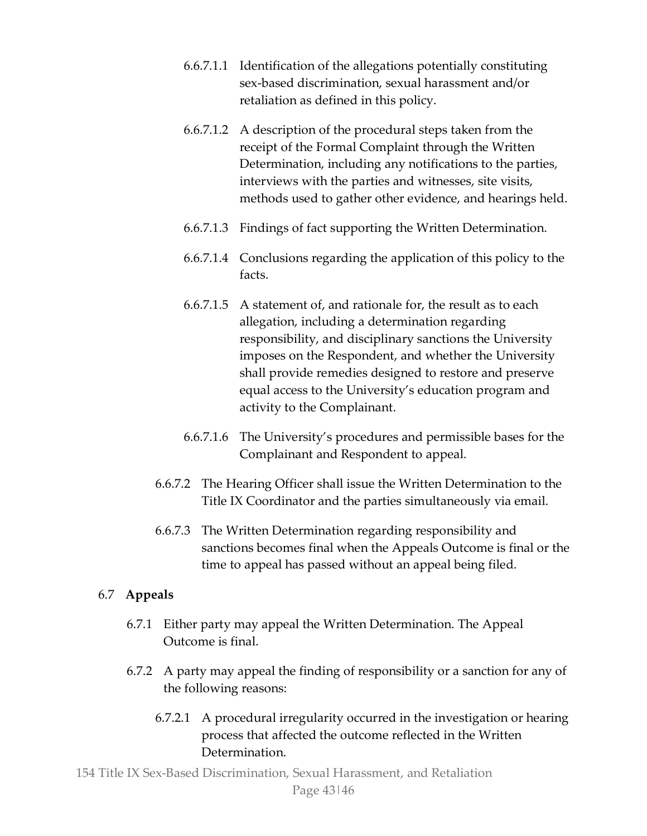- 6.6.7.1.1 Identification of the allegations potentially constituting sex-based discrimination, sexual harassment and/or retaliation as defined in this policy.
- 6.6.7.1.2 A description of the procedural steps taken from the receipt of the Formal Complaint through the Written Determination, including any notifications to the parties, interviews with the parties and witnesses, site visits, methods used to gather other evidence, and hearings held.
- 6.6.7.1.3 Findings of fact supporting the Written Determination.
- 6.6.7.1.4 Conclusions regarding the application of this policy to the facts.
- 6.6.7.1.5 A statement of, and rationale for, the result as to each allegation, including a determination regarding responsibility, and disciplinary sanctions the University imposes on the Respondent, and whether the University shall provide remedies designed to restore and preserve equal access to the University's education program and activity to the Complainant.
- 6.6.7.1.6 The University's procedures and permissible bases for the Complainant and Respondent to appeal.
- 6.6.7.2 The Hearing Officer shall issue the Written Determination to the Title IX Coordinator and the parties simultaneously via email.
- 6.6.7.3 The Written Determination regarding responsibility and sanctions becomes final when the Appeals Outcome is final or the time to appeal has passed without an appeal being filed.

# 6.7 **Appeals**

- 6.7.1 Either party may appeal the Written Determination. The Appeal Outcome is final.
- 6.7.2 A party may appeal the finding of responsibility or a sanction for any of the following reasons:
	- 6.7.2.1 A procedural irregularity occurred in the investigation or hearing process that affected the outcome reflected in the Written Determination.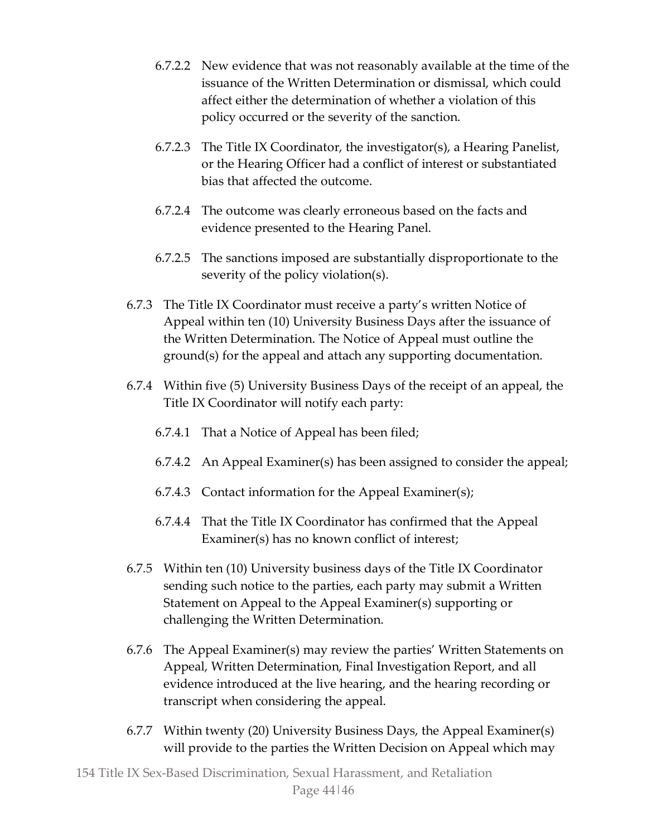- 6.7.2.2 New evidence that was not reasonably available at the time of the issuance of the Written Determination or dismissal, which could affect either the determination of whether a violation of this policy occurred or the severity of the sanction.
- 6.7.2.3 The Title IX Coordinator, the investigator(s), a Hearing Panelist, or the Hearing Officer had a conflict of interest or substantiated bias that affected the outcome.
- 6.7.2.4 The outcome was clearly erroneous based on the facts and evidence presented to the Hearing Panel.
- 6.7.2.5 The sanctions imposed are substantially disproportionate to the severity of the policy violation(s).
- 6.7.3 The Title IX Coordinator must receive a party's written Notice of Appeal within ten (10) University Business Days after the issuance of the Written Determination. The Notice of Appeal must outline the ground(s) for the appeal and attach any supporting documentation.
- 6.7.4 Within five (5) University Business Days of the receipt of an appeal, the Title IX Coordinator will notify each party:
	- 6.7.4.1 That a Notice of Appeal has been filed;
	- 6.7.4.2 An Appeal Examiner(s) has been assigned to consider the appeal;
	- 6.7.4.3 Contact information for the Appeal Examiner(s);
	- 6.7.4.4 That the Title IX Coordinator has confirmed that the Appeal Examiner(s) has no known conflict of interest;
- 6.7.5 Within ten (10) University business days of the Title IX Coordinator sending such notice to the parties, each party may submit a Written Statement on Appeal to the Appeal Examiner(s) supporting or challenging the Written Determination.
- 6.7.6 The Appeal Examiner(s) may review the parties' Written Statements on Appeal, Written Determination, Final Investigation Report, and all evidence introduced at the live hearing, and the hearing recording or transcript when considering the appeal.
- 6.7.7 Within twenty (20) University Business Days, the Appeal Examiner(s) will provide to the parties the Written Decision on Appeal which may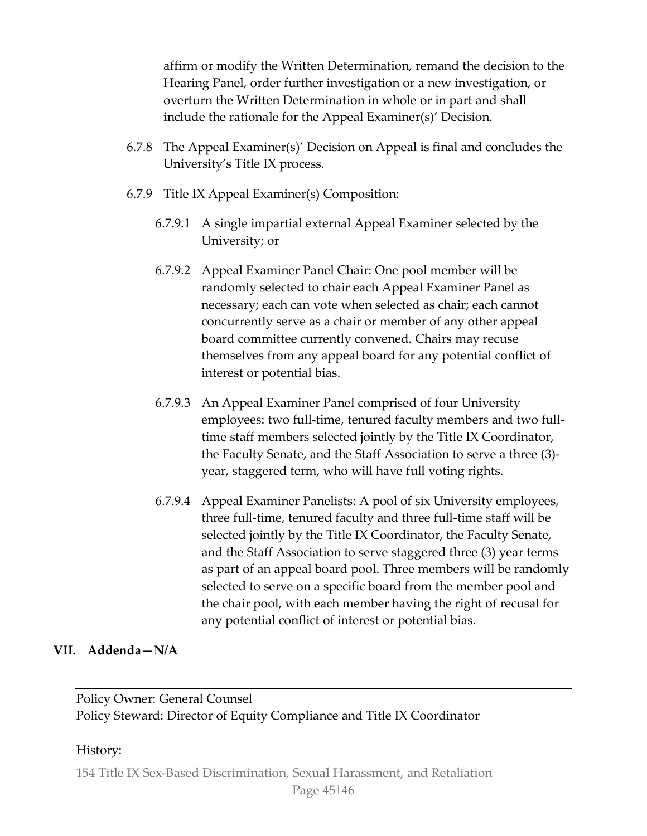affirm or modify the Written Determination, remand the decision to the Hearing Panel, order further investigation or a new investigation, or overturn the Written Determination in whole or in part and shall include the rationale for the Appeal Examiner(s)' Decision.

- 6.7.8 The Appeal Examiner(s)' Decision on Appeal is final and concludes the University's Title IX process.
- 6.7.9 Title IX Appeal Examiner(s) Composition:
	- 6.7.9.1 A single impartial external Appeal Examiner selected by the University; or
	- 6.7.9.2 Appeal Examiner Panel Chair: One pool member will be randomly selected to chair each Appeal Examiner Panel as necessary; each can vote when selected as chair; each cannot concurrently serve as a chair or member of any other appeal board committee currently convened. Chairs may recuse themselves from any appeal board for any potential conflict of interest or potential bias.
	- 6.7.9.3 An Appeal Examiner Panel comprised of four University employees: two full-time, tenured faculty members and two fulltime staff members selected jointly by the Title IX Coordinator, the Faculty Senate, and the Staff Association to serve a three (3) year, staggered term, who will have full voting rights.
	- 6.7.9.4 Appeal Examiner Panelists: A pool of six University employees, three full-time, tenured faculty and three full-time staff will be selected jointly by the Title IX Coordinator, the Faculty Senate, and the Staff Association to serve staggered three (3) year terms as part of an appeal board pool. Three members will be randomly selected to serve on a specific board from the member pool and the chair pool, with each member having the right of recusal for any potential conflict of interest or potential bias.

#### **VII. Addenda—N/A**

Policy Owner: General Counsel Policy Steward: Director of Equity Compliance and Title IX Coordinator

#### History: